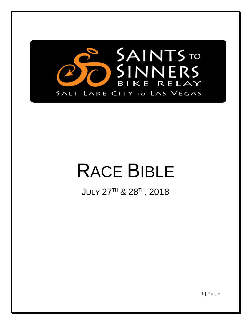

# RACE BIBLE

 $\,$ JULY 27 $^{\rm TH}$  & 28 $^{\rm TH}$ , 2018

1 | Page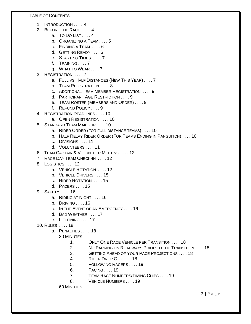TABLE OF CONTENTS

- 1. INTRODUCTION . . . . 4
- 2. BEFORE THE RACE . . . . 4
	- a. TO DO LIST . . . . 4
	- b. ORGANIZING A TEAM . . . . 5
	- c. FINDING A TEAM . . . . 6
	- d. GETTING READY . . . . 6
	- e. STARTING TIMES . . . . 7
	- f. TRAINING . . . . 7
	- g. WHAT TO WEAR . . . . 7
- 3. REGISTRATION . . . . 7
	- a. FULL VS HALF DISTANCES (NEW THIS YEAR) . . . . 7
	- b. TEAM REGISTRATION . . . . 8
	- c. ADDITIONAL TEAM MEMBER REGISTRATION . . . . 9
	- d. PARTICIPANT AGE RESTRICTION . . . . 9
	- e. TEAM ROSTER (MEMBERS AND ORDER) . . . . 9
	- f. REFUND POLICY . . . . 9
- 4. REGISTRATION DEADLINES . . . . 10
	- a. OPEN REGISTRATION . . . . 10
- 5. STANDARD TEAM MAKE-UP . . . . 10
	- a. RIDER ORDER (FOR FULL DISTANCE TEAMS) . . . . 10
	- b. HALF RELAY RIDER ORDER (FOR TEAMS ENDING IN PANGUITCH) . . . . 10
	- c. DIVISIONS . . . . 11
	- d. VOLUNTEERS . . . . 11
- 6. TEAM CAPTAIN & VOLUNTEER MEETING . . . . 12
- 7. RACE DAY TEAM CHECK-IN . . . . 12
- 8. LOGISTICS . . . . 12
	- a. VEHICLE ROTATION . . . . 12
	- b. VEHICLE DRIVERS . . . . 15
	- c. RIDER ROTATION . . . . 15
	- d. PACERS . . . . 15
- 9. SAFETY . . . . 16
	- a. RIDING AT NIGHT . . . . 16
	- b. DRIVING . . . . 16
	- c. IN THE EVENT OF AN EMERGENCY . . . . 16
	- d. BAD WEATHER . . . . 17
	- e. LIGHTNING . . . . 17
- 10. RULES . . . . 18
	- a. PENALTIES . . . . 18

30 MINUTES

- 1. ONLY ONE RACE VEHICLE PER TRANSITION . . . . 18
- 2. NO PARKING ON ROADWAYS PRIOR TO THE TRANSITION . . . . 18
- 3. GETTING AHEAD OF YOUR PACE PROJECTIONS . . . . 18
- 4. RIDER DROP OFF . . . . 18
- 5. FOLLOWING RACERS . . . . 19
- 6. PACING . . . . 19
- 7. TEAM RACE NUMBERS/TIMING CHIPS . . . . 19
- 8. VEHICLE NUMBERS . . . . 19

60 MINUTES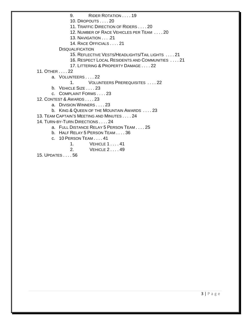9. RIDER ROTATION . . . . 19

10. DROPOUTS . . . . 20

11. TRAFFIC DIRECTION OF RIDERS . . . . 20

12. NUMBER OF RACE VEHICLES PER TEAM . . . . 20

13. NAVIGATION . . . .21

14. RACE OFFICIALS . . . . 21

**DISQUALIFICATION** 

15. REFLECTIVE VESTS/HEADLIGHTS/TAIL LIGHTS . . . . 21

16. RESPECT LOCAL RESIDENTS AND COMMUNITIES . . . . 21

17. LITTERING & PROPERTY DAMAGE . . . . 22

11. OTHER . . . . 22

a. VOLUNTEERS . . . . 22

1. VOLUNTEERS PREREQUISITES . . . . 22

b. VEHICLE SIZE . . . . 23

c. COMPLAINT FORMS . . . . 23

12. CONTEST & AWARDS . . . . 23

a. DIVISION WINNERS . . . . 23

b. KING & QUEEN OF THE MOUNTAIN AWARDS . . . . 23

13. TEAM CAPTAIN'S MEETING AND MINUTES . . . . 24

14. TURN-BY-TURN DIRECTIONS . . . . 24

a. FULL DISTANCE RELAY 5 PERSON TEAM . . . . 25

b. HALF RELAY 5 PERSON TEAM . . . . 36

c. 10 PERSON TEAM . . . . 41

1. VEHICLE 1 . . . . 41

2. VEHICLE 2 . . . . 49

15. UPDATES . . . . 56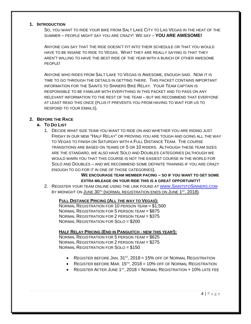#### **1. INTRODUCTION**

SO, YOU WANT TO RIDE YOUR BIKE FROM SALT LAKE CITY TO LAS VEGAS IN THE HEAT OF THE SUMMER – PEOPLE MIGHT SAY YOU ARE CRAZY! WE SAY – **YOU ARE AWESOME!**

ANYONE CAN SAY THAT THE RIDE DOESN'T FIT INTO THEIR SCHEDULE OR THAT YOU WOULD HAVE TO BE INSANE TO RIDE TO VEGAS. WHAT THEY ARE REALLY SAYING IS THAT THEY AREN'T WILLING TO HAVE THE BEST RIDE OF THE YEAR WITH A BUNCH OF OTHER AWESOME PEOPLE!

ANYONE WHO RIDES FROM SALT LAKE TO VEGAS IS AWESOME, ENOUGH SAID. NOW IT IS TIME TO GO THROUGH THE DETAILS IN GETTING THERE. THIS PACKET CONTAINS IMPORTANT INFORMATION FOR THE SAINTS TO SINNERS BIKE RELAY. YOUR TEAM CAPTAIN IS RESPONSIBLE TO BE FAMILIAR WITH EVERYTHING IN THIS PACKET AND TO PASS ON ANY RELEVANT INFORMATION TO THE REST OF THE TEAM – BUT WE RECOMMEND THAT EVERYONE AT LEAST READ THIS ONCE (PLUS IT PREVENTS YOU FROM HAVING TO WAIT FOR US TO RESPOND TO YOUR EMAILS).

#### **2. BEFORE THE RACE**

#### **a. TO DO LIST**

1. DECIDE WHAT SIZE TEAM YOU WANT TO RIDE ON AND WHETHER YOU ARE RIDING JUST FRIDAY IN OUR NEW "HALF RELAY" OR PROVING YOU ARE TOUGH AND GOING ALL THE WAY TO VEGAS TO FINISH ON SATURDAY WITH A FULL DISTANCE TEAM. THE COURSE TRANSITIONS ARE BASED ON TEAMS OF 5 OR 10 RIDERS. ALTHOUGH THESE TEAM SIZES ARE THE STANDARD, WE ALSO HAVE SOLO AND DOUBLES CATEGORIES (ALTHOUGH WE WOULD WARN YOU THAT THIS COURSE IS NOT THE EASIEST COURSE IN THE WORLD FOR SOLO AND DOUBLES – AND WE RECOMMEND SOME DEFINITE TRAINING IF YOU ARE CRAZY ENOUGH TO GO FOR IT IN ONE OF THOSE CATEGORIES).

#### **WE ENCOURAGE TEAM MEMBER PACING – SO IF YOU WANT TO GET SOME EXTRA MILEAGE ON YOUR RIDE THIS IS A GREAT OPPORTUNITY!**

2. REGISTER YOUR TEAM ONLINE USING THE LINK FOUND A[T WWW.SAINTSTOSINNERS.COM](http://www.saintstosinners.com/) BY MIDNIGHT ON JUNE 30<sup>TH</sup> (NORMAL REGISTRATION ENDS ON JUNE 1<sup>ST</sup>, 2018).

#### **FULL DISTANCE PRICING (ALL THE WAY TO VEGAS):**

NORMAL REGISTRATION FOR 10 PERSON TEAM = \$1,500 NORMAL REGISTRATION FOR 5 PERSON TEAM = \$875 NORMAL REGISTRATION FOR 2 PERSON TEAM = \$375 NORMAL REGISTRATION FOR SOLO = \$200

#### **HALF RELAY PRICING (END IN PANGUITCH - NEW THIS YEAR!):**

NORMAL REGISTRATION FOR 5 PERSON TEAM = \$625 NORMAL REGISTRATION FOR 2 PERSON TEAM = \$275 NORMAL REGISTRATION FOR SOLO = \$150

- REGISTER BEFORE JAN.  $31^{st}$ ,  $2018 = 15%$  OFF OF NORMAL REGISTRATION
- REGISTER BEFORE MAR,  $15^{th}$ ,  $2018 = 10\%$  OFF OF NORMAL REGISTRATION
- REGISTER AFTER JUNE  $1<sup>ST</sup>$ , 2018 = NORMAL REGISTRATION + 10% LATE FEE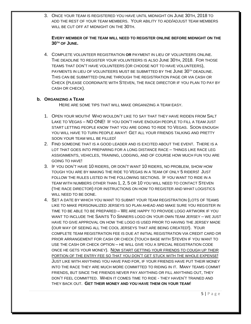3. ONCE YOUR TEAM IS REGISTERED YOU HAVE UNTIL MIDNIGHT ON JUNE 30TH, 2018 TO ADD THE REST OF YOUR TEAM MEMBERS. YOUR ABILITY TO ADD/ADJUST TEAM MEMBERS WILL BE CUT OFF AT MIDNIGHT ON THE 30TH.

#### **EVERY MEMBER OF THE TEAM WILL NEED TO REGISTER ONLINE BEFORE MIDNIGHT ON THE 30TH OF JUNE.**

4. COMPLETE VOLUNTEER REGISTRATION **OR** PAYMENT IN LIEU OF VOLUNTEERS ONLINE. THE DEADLINE TO REGISTER YOUR VOLUNTEERS IS ALSO JUNE 30TH, 2018. FOR THOSE TEAMS THAT DON'T HAVE VOLUNTEERS (OR CHOOSE NOT TO HAVE VOLUNTEERS), PAYMENTS IN LIEU OF VOLUNTEERS MUST BE SUBMITTED BY THE JUNE 30<sup>TH</sup> DEADLINE. THIS CAN BE SUBMITTED ONLINE THROUGH THE REGISTRATION PAGE OR VIA CASH OR CHECK (PLEASE COORDINATE WITH STEVEN, THE RACE DIRECTOR IF YOU PLAN TO PAY BY CASH OR CHECK).

#### **b. ORGANIZING A TEAM**

HERE ARE SOME TIPS THAT WILL MAKE ORGANIZING A TEAM EASY.

- 1. OPEN YOUR MOUTH! WHO WOULDN'T LIKE TO SAY THAT THEY HAVE RIDDEN FROM SALT LAKE TO VEGAS – NO ONE! IF YOU DON'T HAVE ENOUGH PEOPLE TO FILL A TEAM JUST START LETTING PEOPLE KNOW THAT YOU ARE GOING TO RIDE TO VEGAS. SOON ENOUGH YOU WILL HAVE TO TURN PEOPLE AWAY! GET ALL YOUR FRIENDS TALKING AND PRETTY SOON YOUR TEAM WILL BE FILLED!
- 2. FIND SOMEONE THAT IS A GOOD LEADER AND IS EXCITED ABOUT THE EVENT. THERE IS A LOT THAT GOES INTO PREPARING FOR A LONG DISTANCE RACE – THINGS LIKE RACE LEG ASSIGNMENTS, VEHICLES, TRAINING, LODGING, AND OF COURSE HOW MUCH FUN YOU ARE GOING TO HAVE!
- 3. IF YOU DON'T HAVE 10 RIDERS, OR DON'T WANT 10 RIDERS, NO PROBLEM, SHOW HOW TOUGH YOU ARE BY MAKING THE RIDE TO VEGAS IN A TEAM OF ONLY 5 RIDERS! JUST FOLLOW THE RULES LISTED IN THE FOLLOWING SECTIONS. IF YOU WANT TO RIDE IN A TEAM WITH NUMBERS OTHER THAN 1, 2, 5 OR 10 YOU WILL NEED TO CONTACT STEVEN (THE RACE DIRECTOR) FOR INSTRUCTIONS ON HOW TO REGISTER AND WHAT LOGISTICS WILL NEED TO BE DONE.
- 4. SET A DATE BY WHICH YOU WANT TO SUBMIT YOUR TEAM REGISTRATION (LOTS OF TEAMS LIKE TO MAKE PERSONALIZED JERSEYS SO PLAN AHEAD AND MAKE SURE YOU REGISTER IN TIME TO BE ABLE TO BE PREPARED – WE ARE HAPPY TO PROVIDE LOGO ARTWORK IF YOU WANT TO INCLUDE THE SAINTS TO SINNERS LOGO ON YOUR OWN TEAM JERSEY – WE JUST HAVE TO GIVE APPROVAL ON HOW THE LOGO IS USED PRIOR TO HAVING THE JERSEY MADE (OUR WAY OF SEEING ALL THE COOL JERSEYS THAT ARE BEING CREATED!). YOUR COMPLETE TEAM REGISTRATION FEE IS DUE AT INITIAL REGISTRATION VIA CREDIT CARD OR PRIOR ARRANGEMENT FOR CASH OR CHECK (TOUCH BASE WITH STEVEN IF YOU WANT TO USE THE CASH OR CHECK OPTION – HE WILL GIVE YOU A SPECIAL REGISTRATION CODE ONCE HE GETS YOUR MONEY). NOW START GETTING YOUR FRIENDS TO COUGH UP THEIR PORTION OF THE ENTRY FEE SO THAT YOU DON'T GET STUCK WITH THE WHOLE EXPENSE! JUST LIKE WITH ANYTHING YOU HAVE PAID FOR, IF YOUR FRIENDS HAVE PUT THEIR MONEY INTO THE RACE THEY ARE MUCH MORE COMMITTED TO RIDING IN IT. MANY TEAMS COMMIT FRIENDS, BUT SINCE THE FRIENDS NEVER PAY ANYTHING OR FILL ANYTHING OUT, THEY DON'T FEEL COMMITTED. WHEN IT COMES TIME TO RIDE - THEY HAVEN'T TRAINED AND THEY BACK OUT. **GET THEIR MONEY AND YOU HAVE THEM ON YOUR TEAM**!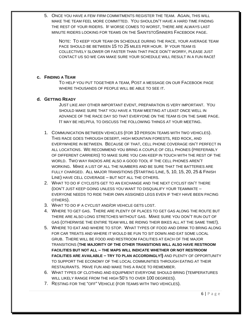5. ONCE YOU HAVE A FEW FIRM COMMITMENTS REGISTER THE TEAM. AGAIN, THIS WILL MAKE THE TEAM FEEL MORE COMMITTED. YOU SHOULDN'T HAVE A HARD TIME FINDING THE REST OF YOUR RIDERS. IF WORSE COMES TO WORST, THERE ARE ALWAYS LAST MINUTE RIDERS LOOKING FOR TEAMS ON THE SAINTSTOSINNERS FACEBOOK PAGE.

NOTE: TO KEEP YOUR TEAM ON SCHEDULE DURING THE RACE, YOUR AVERAGE TEAM PACE SHOULD BE BETWEEN 15 TO 25 MILES PER HOUR. IF YOUR TEAM IS COLLECTIVELY SLOWER OR FASTER THAN THAT PACE DON'T WORRY, PLEASE JUST CONTACT US SO WE CAN MAKE SURE YOUR SCHEDULE WILL RESULT IN A FUN RACE!

#### **c. FINDING A TEAM**

TO HELP YOU PUT TOGETHER A TEAM, POST A MESSAGE ON OUR FACEBOOK PAGE WHERE THOUSANDS OF PEOPLE WILL BE ABLE TO SEE IT.

#### **d. GETTING READY**

JUST LIKE ANY OTHER IMPORTANT EVENT, PREPARATION IS VERY IMPORTANT. YOU SHOULD MAKE SURE THAT YOU HAVE A TEAM MEETING AT LEAST ONCE WELL IN ADVANCE OF THE RACE DAY SO THAT EVERYONE ON THE TEAM IS ON THE SAME PAGE. IT MAY BE HELPFUL TO DISCUSS THE FOLLOWING THINGS AT YOUR MEETING.

- 1. COMMUNICATION BETWEEN VEHICLES (FOR 10 PERSON TEAMS WITH TWO VEHICLES). THIS RACE GOES THROUGH DESERT, HIGH MOUNTAIN FORESTS, RED ROCK, AND EVERYWHERE IN BETWEEN. BECAUSE OF THAT, CELL PHONE COVERAGE ISN'T PERFECT IN ALL LOCATIONS. WE RECOMMEND YOU BRING A COUPLE OF CELL PHONES (PREFERABLY OF DIFFERENT CARRIERS) TO MAKE SURE YOU CAN KEEP IN TOUCH WITH THE REST OF THE WORLD. TWO WAY RADIOS ARE ALSO A GOOD TOOL IF THE CELL PHONES AREN'T WORKING. MAKE A LIST OF ALL THE NUMBERS AND BE SURE THAT THE BATTERIES ARE FULLY CHARGED. ALL MAJOR TRANSITIONS (STARTING LINE, 5, 10, 15, 20, 25 & FINISH LINE) HAVE CELL COVERAGE – BUT NOT ALL THE OTHERS.
- 2. WHAT TO DO IF CYCLISTS GET TO AN EXCHANGE AND THE NEXT CYCLIST ISN'T THERE (DON'T JUST KEEP GOING UNLESS YOU WANT TO DISQUALIFY YOUR TEAMMATE – EVERYONE NEEDS TO RIDE THEIR OWN ASSIGNED LEGS EVEN IF THEY HAVE BEEN PACING OTHERS).
- 3. WHAT TO DO IF A CYCLIST AND/OR VEHICLE GETS LOST.
- 4. WHERE TO GET GAS. THERE ARE PLENTY OF PLACES TO GET GAS ALONG THE ROUTE BUT THERE ARE ALSO LONG STRETCHES WITHOUT GAS. MAKE SURE YOU DON'T RUN OUT OF GAS (OTHERWISE THE ENTIRE TEAM WILL BE RIDING THEIR BIKES ALL AT THE SAME TIME!).
- 5. WHERE TO EAT AND WHERE TO STOP. WHAT TYPES OF FOOD AND DRINK TO BRING ALONG FOR CAR TREATS AND WHERE IT WOULD BE FUN TO SIT DOWN AND EAT SOME LOCAL GRUB. THERE WILL BE FOOD AND RESTROOM FACILITIES AT EACH OF THE MAJOR TRANSITIONS (**THE MAJORITY OF THE OTHER TRANSITIONS WILL ALSO HAVE RESTROOM FACILITIES BUT NOT ALL – THE MAPS WILL INDICATE WHETHER OR NOT RESTROOM FACILITIES ARE AVAILABLE – TRY TO PLAN ACCORDINGLY!)** AND PLENTY OF OPPORTUNITY TO SUPPORT THE ECONOMY OF THE LOCAL COMMUNITIES THROUGH EATING AT THEIR RESTAURANTS. HAVE FUN AND MAKE THIS A RACE TO REMEMBER.
- 6. WHAT TYPES OF CLOTHING AND EQUIPMENT EVERYONE SHOULD BRING (TEMPERATURES WILL LIKELY RANGE FROM THE HIGH 50'S TO OVER 100 DEGREES).
- 7. RESTING FOR THE "OFF" VEHICLE (FOR TEAMS WITH TWO VEHICLES).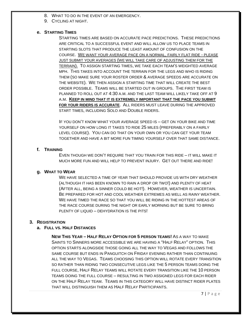- 8. WHAT TO DO IN THE EVENT OF AN EMERGENCY.
- 9. CYCLING AT NIGHT.

#### **e. STARTING TIMES**

STARTING TIMES ARE BASED ON ACCURATE PACE PREDICTIONS. THESE PREDICTIONS ARE CRITICAL TO A SUCCESSFUL EVENT AND WILL ALLOW US TO PLACE TEAMS IN STARTING SLOTS THAT PRODUCE THE LEAST AMOUNT OF CONFUSION ON THE COURSE. WE WANT YOUR AVERAGE PACE ON A NORMAL, FAIRLY FLAT RIDE - PLEASE JUST SUBMIT YOUR AVERAGES (WE WILL TAKE CARE OF ADJUSTING THEM FOR THE TERRAIN). TO ASSIGN STARTING TIMES, WE TAKE EACH TEAM'S WEIGHTED AVERAGE MPH. THIS TAKES INTO ACCOUNT THE TERRAIN FOR THE LEGS AND WHO IS RIDING THEM (SO MAKE SURE YOUR ROSTER ORDER & AVERAGE SPEEDS ARE ACCURATE ON THE WEBSITE). WE THEN ASSIGN A STARTING TIME THAT WILL CREATE THE BEST ORDER POSSIBLE. TEAMS WILL BE STARTED OUT IN GROUPS. THE FIRST TEAM IS PLANNED TO ROLL OUT AT 4:30 A.M. AND THE LAST TEAM WILL LIKELY TAKE OFF AT 9 A.M. **KEEP IN MIND THAT IT IS EXTREMELY IMPORTANT THAT THE PACE YOU SUBMIT FOR YOUR RIDERS IS ACCURATE**. ALL RIDERS MUST LEAVE DURING THE APPROVED START TIMES, INCLUDING SOLO AND DOUBLE RIDERS.

IF YOU DON'T KNOW WHAT YOUR AVERAGE SPEED IS – GET ON YOUR BIKE AND TIME YOURSELF ON HOW LONG IT TAKES TO RIDE 25 MILES (PREFERABLY ON A FAIRLY LEVEL COURSE). YOU CAN DO THAT ON YOUR OWN OR YOU CAN GET YOUR TEAM TOGETHER AND HAVE A BIT MORE FUN TIMING YOURSELF OVER THAT SAME DISTANCE.

#### **f. TRAINING**

EVEN THOUGH WE DON'T REQUIRE THAT YOU TRAIN FOR THIS RIDE – IT WILL MAKE IT MUCH MORE FUN AND WILL HELP TO PREVENT INJURY. GET OUT THERE AND RIDE!

#### **g. WHAT TO WEAR**

WE HAVE SELECTED A TIME OF YEAR THAT SHOULD PROVIDE US WITH DRY WEATHER (ALTHOUGH IT HAS BEEN KNOWN TO RAIN A DROP OR TWO!) AND PLENTY OF HEAT (AFTER ALL, BEING A SINNER COULD BE HOT!). HOWEVER, WEATHER IS UNCERTAIN. BE PREPARED FOR HOT AND COOL WEATHER EXTREMES AS WELL AS RAINY WEATHER. WE HAVE TIMED THE RACE SO THAT YOU WILL BE RIDING IN THE HOTTEST AREAS OF THE RACE COURSE DURING THE NIGHT OR EARLY MORNING BUT BE SURE TO BRING PLENTY OF LIQUID – DEHYDRATION IS THE PITS!

#### **3. REGISTRATION**

#### **a. FULL VS. HALF DISTANCES**

**NEW THIS YEAR – HALF RELAY OPTION FOR 5 PERSON TEAMS!** AS A WAY TO MAKE SAINTS TO SINNERS MORE ACCESSIBLE WE ARE HAVING A "HALF RELAY" OPTION. THIS OPTION STARTS ALONGSIDE THOSE GOING ALL THE WAY TO VEGAS AND FOLLOWS THE SAME COURSE BUT ENDS IN PANGUITCH ON FRIDAY EVENING RATHER THAN CONTINUING ALL THE WAY TO VEGAS. TEAMS CHOOSING THIS OPTION WILL ROTATE EVERY TRANSITION SO RATHER THAN RIDING TWO CONSECUTIVE LEGS LIKE THE 5 PERSON TEAMS DOING THE FULL COURSE, HALF RELAY TEAMS WILL ROTATE EVERY TRANSITION LIKE THE 10 PERSON TEAMS DOING THE FULL COURSE – RESULTING IN TWO ASSIGNED LEGS FOR EACH RIDER ON THE HALF RELAY TEAM. TEAMS IN THIS CATEGORY WILL HAVE DISTINCT RIDER PLATES THAT WILL DISTINGUISH THEM AS HALF RELAY PARTICIPANTS.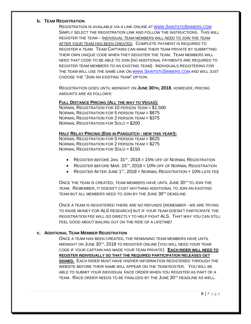#### **b. TEAM REGISTRATION**

REGISTRATION IS AVAILABLE VIA A LINK ONLINE A[T WWW.SAINTSTOSINNERS.COM.](http://www.saintstosinners.com/) SIMPLY SELECT THE REGISTRATION LINK AND FOLLOW THE INSTRUCTIONS. THIS WILL REGISTER THE TEAM – INDIVIDUAL TEAM MEMBERS WILL NEED TO JOIN THE TEAM AFTER YOUR TEAM HAS BEEN CREATED. COMPLETE PAYMENT IS REQUIRED TO REGISTER A TEAM. TEAM CAPTAINS CAN MAKE THEIR TEAM PRIVATE BY SUBMITTING THEIR OWN UNIQUE CODE WHEN THEY REGISTER THE TEAM. TEAM MEMBERS WILL NEED THAT CODE TO BE ABLE TO JOIN (NO ADDITIONAL PAYMENTS ARE REQUIRED TO REGISTER TEAM MEMBERS TO AN EXISTING TEAM). INDIVIDUALS REGISTERING FOR THE TEAM WILL USE THE SAME LINK O[N WWW.SAINTSTOSINNERS.COM](http://www.saintstosinners.com/) AND WILL JUST CHOOSE THE "JOIN AN EXISTING TEAM" OPTION.

REGISTRATION GOES UNTIL MIDNIGHT ON **JUNE 30TH, 2018**, HOWEVER, PRICING AMOUNTS ARE AS FOLLOWS:

#### **FULL DISTANCE PRICING (ALL THE WAY TO VEGAS):**

NORMAL REGISTRATION FOR 10 PERSON TEAM = \$1,500 NORMAL REGISTRATION FOR 5 PERSON TEAM = \$875 NORMAL REGISTRATION FOR 2 PERSON TEAM = \$375 NORMAL REGISTRATION FOR SOLO = \$200

#### **HALF RELAY PRICING (END IN PANGUITCH - NEW THIS YEAR!):**

NORMAL REGISTRATION FOR 5 PERSON TEAM = \$625 NORMAL REGISTRATION FOR 2 PERSON TEAM = \$275 NORMAL REGISTRATION FOR SOLO = \$150

- REGISTER BEFORE JAN.  $31^{st}$ , 2018 = 15% OFF OF NORMAL REGISTRATION
- REGISTER BEFORE MAR.  $15^{th}$ ,  $2018 = 10\%$  OFF OF NORMAL REGISTRATION
- REGISTER AFTER JUNE  $1^{st}$ , 2018 = NORMAL REGISTRATION + 10% LATE FEE

ONCE THE TEAM IS CREATED, TEAM MEMBERS HAVE UNTIL JUNE 30<sup>TH</sup> TO JOIN THE TEAM. REMEMBER, IT DOESN'T COST ANYTHING ADDITIONAL TO JOIN AN EXISTING TEAM BUT ALL MEMBERS NEED TO JOIN BY THE JUNE 30TH DEADLINE.

ONCE A TEAM IS REGISTERED THERE ARE NO REFUNDS (REMEMBER - WE ARE TRYING TO RAISE MONEY FOR ALS RESEARCH) BUT IF YOUR TEAM DOESN'T PARTICIPATE THE REGISTRATION FEE WILL GO DIRECTLY TO HELP FIGHT ALS. THAT WAY YOU CAN STILL FEEL GOOD ABOUT BAILING OUT ON THE RIDE OF A LIFETIME!

#### **c. ADDITIONAL TEAM MEMBER REGISTRATION**

ONCE A TEAM HAS BEEN CREATED, THE REMAINING TEAM MEMBERS HAVE UNTIL MIDNIGHT ON JUNE 30TH, 2018 TO REGISTER ONLINE (YOU WILL NEED YOUR TEAM CODE IF YOUR CAPTAIN HAS MADE YOUR TEAM PRIVATE). **EACH RIDER WILL NEED TO REGISTER INDIVIDUALLY SO THAT THE REQUIRED PARTICIPATION RELEASES GET SIGNED.** EACH RIDER MUST HAVE HIS/HER INFORMATION REGISTERED THROUGH THE WEBSITE BEFORE THEIR NAME WILL APPEAR ON THE TEAM ROSTER. YOU WILL BE ABLE TO SUBMIT YOUR INDIVIDUAL RACE ORDER WHEN YOU REGISTER AS PART OF A TEAM. RACE ORDER NEEDS TO BE FINALIZED BY THE JUNE 30TH DEADLINE AS WELL.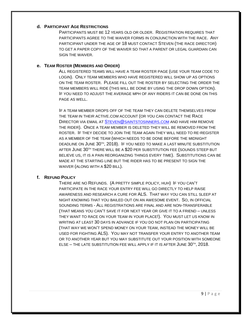#### **d. PARTICIPANT AGE RESTRICTIONS**

PARTICIPANTS MUST BE 12 YEARS OLD OR OLDER. REGISTRATION REQUIRES THAT PARTICIPANTS AGREE TO THE WAIVER FORMS IN CONJUNCTION WITH THE RACE. ANY PARTICIPANT UNDER THE AGE OF 18 MUST CONTACT STEVEN (THE RACE DIRECTOR) TO GET A PAPER COPY OF THE WAIVER SO THAT A PARENT OR LEGAL GUARDIAN CAN SIGN THE WAIVER.

#### **e. TEAM ROSTER (MEMBERS AND ORDER)**

ALL REGISTERED TEAMS WILL HAVE A TEAM ROSTER PAGE (USE YOUR TEAM CODE TO LOGIN). ONLY TEAM MEMBERS WHO HAVE REGISTERED WILL SHOW UP AS OPTIONS ON THE TEAM ROSTER. PLEASE FILL OUT THE ROSTER BY SELECTING THE ORDER THE TEAM MEMBERS WILL RIDE (THIS WILL BE DONE BY USING THE DROP DOWN OPTION). IF YOU NEED TO ADJUST THE AVERAGE MPH OF ANY RIDERS IT CAN BE DONE ON THIS PAGE AS WELL.

IF A TEAM MEMBER DROPS OFF OF THE TEAM THEY CAN DELETE THEMSELVES FROM THE TEAM IN THEIR ACTIVE.COM ACCOUNT (OR YOU CAN CONTACT THE RACE DIRECTOR VIA EMAIL AT [STEVEN@SAINTSTOSINNERS.COM](mailto:Steven@saintstosinners.com) AND HAVE HIM REMOVE THE RIDER). ONCE A TEAM MEMBER IS DELETED THEY WILL BE REMOVED FROM THE ROSTER. IF THEY DECIDE TO JOIN THE TEAM AGAIN THEY WILL NEED TO RE-REGISTER AS A MEMBER OF THE TEAM (WHICH NEEDS TO BE DONE BEFORE THE MIDNIGHT DEADLINE ON JUNE 30TH, 2018). IF YOU NEED TO MAKE A LAST MINUTE SUBSTITUTION AFTER JUNE 30TH THERE WILL BE A \$20 PER SUBSTITUTION FEE (SOUNDS STEEP BUT BELIEVE US, IT IS A PAIN REORGANIZING THINGS EVERY TIME). SUBSTITUTIONS CAN BE MADE AT THE STARTING LINE BUT THE RIDER HAS TO BE PRESENT TO SIGN THE WAIVER (ALONG WITH A \$20 BILL).

#### **f. REFUND POLICY**

THERE ARE NO REFUNDS. (A PRETTY SIMPLE POLICY, HUH) IF YOU CAN'T PARTICIPATE IN THE RACE YOUR ENTRY FEE WILL GO DIRECTLY TO HELP RAISE AWARENESS AND RESEARCH A CURE FOR ALS. THAT WAY YOU CAN STILL SLEEP AT NIGHT KNOWING THAT YOU BAILED OUT ON AN AWESOME EVENT. SO, IN OFFICIAL SOUNDING TERMS - ALL REGISTRATIONS ARE FINAL AND ARE NON-TRANSFERABLE (THAT MEANS YOU CAN'T SAVE IT FOR NEXT YEAR OR GIVE IT TO A FRIEND – UNLESS THEY WANT TO RACE ON YOUR TEAM IN YOUR PLACE!). YOU MUST LET US KNOW IN WRITING AT LEAST 30 DAYS IN ADVANCE IF YOU DO NOT PLAN ON PARTICIPATING (THAT WAY WE WON'T SPEND MONEY ON YOUR TEAM, INSTEAD THE MONEY WILL BE USED FOR FIGHTING ALS). YOU MAY NOT TRANSFER YOUR ENTRY TO ANOTHER TEAM OR TO ANOTHER YEAR BUT YOU MAY SUBSTITUTE OUT YOUR POSITION WITH SOMEONE ELSE – THE LATE SUBSTITUTION FEE WILL APPLY IF IT IS AFTER JUNE 30TH, 2018.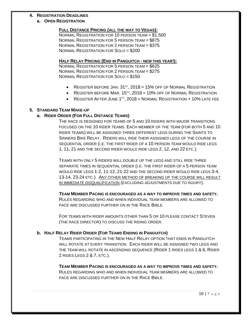#### **4. REGISTRATION DEADLINES**

#### **a. OPEN REGISTRATION**

#### **FULL DISTANCE PRICING (ALL THE WAY TO VEGAS):**

NORMAL REGISTRATION FOR 10 PERSON TEAM = \$1,500 NORMAL REGISTRATION FOR 5 PERSON TEAM = \$875 NORMAL REGISTRATION FOR 2 PERSON TEAM = \$375 NORMAL REGISTRATION FOR SOLO = \$200

#### **HALF RELAY PRICING (END IN PANGUITCH - NEW THIS YEAR!):**

NORMAL REGISTRATION FOR 5 PERSON TEAM = \$625 NORMAL REGISTRATION FOR 2 PERSON TEAM = \$275 NORMAL REGISTRATION FOR SOLO = \$150

- REGISTER BEFORE JAN.  $31^{st}$ ,  $2018 = 15%$  OFF OF NORMAL REGISTRATION
- REGISTER BEFORE MAR.  $15<sup>TH</sup>$ ,  $2018 = 10%$  OFF OF NORMAL REGISTRATION
- REGISTER AFTER JUNE  $1<sup>ST</sup>$ , 2018 = NORMAL REGISTRATION + 10% LATE FEE

#### **5. STANDARD TEAM MAKE-UP**

#### **a. RIDER ORDER (FOR FULL DISTANCE TEAMS)**

THE RACE IS DESIGNED FOR TEAMS OF 5 AND 10 RIDERS WITH MAJOR TRANSITIONS FOCUSED ON THE 10 RIDER TEAMS. EACH MEMBER OF THE TEAM (FOR BOTH 5 AND 10 RIDER TEAMS) WILL BE ASSIGNED THREE DIFFERENT LEGS DURING THE SAINTS TO SINNERS BIKE RELAY. RIDERS WILL RIDE THEIR ASSIGNED LEGS OF THE COURSE IN SEQUENTIAL ORDER (I.E. THE FIRST RIDER OF A 10 PERSON TEAM WOULD RIDE LEGS 1, 11, 21 AND THE SECOND RIDER WOULD RIDE LEGS 2, 12, AND 22 ETC.).

TEAMS WITH ONLY 5 RIDERS WILL DOUBLE UP THE LEGS AND STILL RIDE THREE SEPARATE TIMES IN SEQUENTIAL ORDER (I.E. THE FIRST RIDER OF A 5 PERSON TEAM WOULD RIDE LEGS 1-2, 11-12, 21-22 AND THE SECOND RIDER WOULD RIDE LEGS 3-4, 13-14, 23-24 ETC.). ANY OTHER METHOD OF BREAKING UP THE COURSE WILL RESULT IN IMMEDIATE DISQUALIFICATION (EXCLUDING ADJUSTMENTS DUE TO INJURY).

**TEAM MEMBER PACING IS ENCOURAGED AS A WAY TO IMPROVE TIMES AND SAFETY.**

RULES REGARDING WHO AND WHEN INDIVIDUAL TEAM MEMBERS ARE ALLOWED TO PACE ARE DISCUSSED FURTHER ON IN THE RACE BIBLE.

FOR TEAMS WITH RIDER AMOUNTS OTHER THAN 5 OR 10 PLEASE CONTACT STEVEN (THE RACE DIRECTOR) TO DISCUSS THE RIDING ORDER.

#### **b. HALF RELAY RIDER ORDER (FOR TEAMS ENDING IN PANGUITCH)**

TEAMS PARTICIPATING IN THE NEW HALF RELAY OPTION THAT ENDS IN PANGUITCH WILL ROTATE AT EVERY TRANSITION. EACH RIDER WILL BE ASSIGNED TWO LEGS AND THE TEAM WILL ROTATE IN ASCENDING SEQUENCE (RIDER 1 RIDES LEGS 1 & 6, RIDER 2 RIDES LEGS 2 & 7, ETC.).

**TEAM MEMBER PACING IS ENCOURAGED AS A WAY TO IMPROVE TIMES AND SAFETY.** RULES REGARDING WHO AND WHEN INDIVIDUAL TEAM MEMBERS ARE ALLOWED TO PACE ARE DISCUSSED FURTHER ON IN THE RACE BIBLE.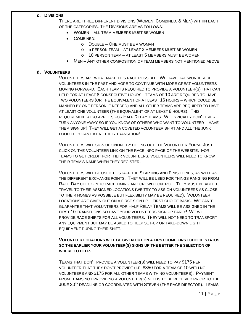#### **c. DIVISIONS**

THERE ARE THREE DIFFERENT DIVISIONS (WOMEN, COMBINED, & MEN) WITHIN EACH OF THE CATEGORIES. THE DIVISIONS ARE AS FOLLOWS:

- WOMEN ALL TEAM MEMBERS MUST BE WOMEN
- COMBINED:
	- o DOUBLE ONE MUST BE A WOMAN
	- o 5 PERSON TEAM AT LEAST 2 MEMBERS MUST BE WOMEN
	- o 10 PERSON TEAM AT LEAST 5 MEMBERS MUST BE WOMEN
- MEN ANY OTHER COMPOSITION OF TEAM MEMBERS NOT MENTIONED ABOVE

#### **d. VOLUNTEERS**

VOLUNTEERS ARE WHAT MAKE THIS RACE POSSIBLE! WE HAVE HAD WONDERFUL VOLUNTEERS IN THE PAST AND HOPE TO CONTINUE WITH MORE GREAT VOLUNTEERS MOVING FORWARD. EACH TEAM IS REQUIRED TO PROVIDE A VOLUNTEER(S) THAT CAN HELP FOR AT LEAST 8 CONSECUTIVE HOURS. TEAMS OF 10 ARE REQUIRED TO HAVE TWO VOLUNTEERS (OR THE EQUIVALENT OF AT LEAST 16 HOURS – WHICH COULD BE MANNED BY ONE PERSON IF NEEDED) AND ALL OTHER TEAMS ARE REQUIRED TO HAVE AT LEAST ONE VOLUNTEER (THE EQUIVALENT OF AT LEAST 8 HOURS). THIS REQUIREMENT ALSO APPLIES FOR HALF RELAY TEAMS. WE TYPICALLY DON'T EVER TURN ANYONE AWAY SO IF YOU KNOW OF OTHERS WHO WANT TO VOLUNTEER – HAVE THEM SIGN UP! THEY WILL GET A COVETED VOLUNTEER SHIRT AND ALL THE JUNK FOOD THEY CAN EAT AT THEIR TRANSITION!

VOLUNTEERS WILL SIGN UP ONLINE BY FILLING OUT THE VOLUNTEER FORM. JUST CLICK ON THE VOLUNTEER LINK ON THE RACE INFO PAGE OF THE WEBSITE. FOR TEAMS TO GET CREDIT FOR THEIR VOLUNTEERS, VOLUNTEERS WILL NEED TO KNOW THEIR TEAM'S NAME WHEN THEY REGISTER.

VOLUNTEERS WILL BE USED TO STAFF THE STARTING AND FINISH LINES, AS WELL AS THE DIFFERENT EXCHANGE POINTS. THEY WILL BE USED FOR THINGS RANGING FROM RACE DAY CHECK-IN TO RACE TIMING AND CROWD CONTROL. THEY MUST BE ABLE TO TRAVEL TO THEIR ASSIGNED LOCATIONS (WE TRY TO ASSIGN VOLUNTEERS AS CLOSE TO THEIR HOMES AS POSSIBLE BUT FLEXIBILITY MAY BE REQUIRED). VOLUNTEER LOCATIONS ARE GIVEN OUT ON A FIRST SIGN UP – FIRST CHOICE BASIS. WE CAN'T GUARANTEE THAT VOLUNTEERS FOR HALF RELAY TEAMS WILL BE ASSIGNED IN THE FIRST 10 TRANSITIONS SO HAVE YOUR VOLUNTEERS SIGN UP EARLY! WE WILL PROVIDE RACE SHIRTS FOR ALL VOLUNTEERS. THEY WILL NOT NEED TO TRANSPORT ANY EQUIPMENT BUT MAY BE ASKED TO HELP SET-UP OR TAKE-DOWN LIGHT EQUIPMENT DURING THEIR SHIFT.

**VOLUNTEER LOCATIONS WILL BE GIVEN OUT ON A FIRST COME FIRST CHOICE STATUS SO THE EARLIER YOUR VOLUNTEER(S) SIGNS UP THE BETTER THE SELECTION OF WHERE TO HELP.**

TEAMS THAT DON'T PROVIDE A VOLUNTEER(S) WILL NEED TO PAY \$175 PER VOLUNTEER THAT THEY DON'T PROVIDE (I.E. \$350 FOR A TEAM OF 10 WITH NO VOLUNTEERS AND \$175 FOR ALL OTHER TEAMS WITH NO VOLUNTEERS). PAYMENT FROM TEAMS NOT PROVIDING A VOLUNTEER(S) NEEDS TO BE RECEIVED PRIOR TO THE JUNE 30<sup>TH</sup> DEADLINE OR COORDINATED WITH STEVEN (THE RACE DIRECTOR). TEAMS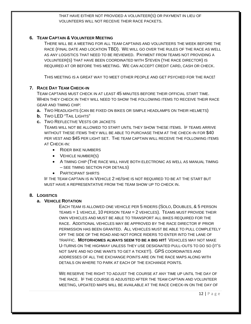#### THAT HAVE EITHER NOT PROVIDED A VOLUNTEER(S) OR PAYMENT IN LIEU OF VOLUNTEERS WILL NOT RECEIVE THEIR RACE PACKETS.

#### **6. TEAM CAPTAIN & VOLUNTEER MEETING**

THERE WILL BE A MEETING FOR ALL TEAM CAPTAINS AND VOLUNTEERS THE WEEK BEFORE THE RACE (FINAL DATE AND LOCATION TBD). WE WILL GO OVER THE RULES OF THE RACE AS WELL AS ANY LOGISTICS THAT NEED TO BE REVIEWED. PAYMENT FROM TEAMS NOT PROVIDING A VOLUNTEER(S) THAT HAVE BEEN COORDINATED WITH STEVEN (THE RACE DIRECTOR) IS REQUIRED AT OR BEFORE THIS MEETING. WE CAN ACCEPT CREDIT CARD, CASH OR CHECK.

THIS MEETING IS A GREAT WAY TO MEET OTHER PEOPLE AND GET PSYCHED FOR THE RACE!

#### **7. RACE DAY TEAM CHECK-IN**

TEAM CAPTAINS MUST CHECK IN AT LEAST 45 MINUTES BEFORE THEIR OFFICIAL START TIME. WHEN THEY CHECK IN THEY WILL NEED TO SHOW THE FOLLOWING ITEMS TO RECEIVE THEIR RACE GEAR AND TIMING CHIP:

- **a.** TWO HEADLIGHTS (CAN BE FIXED ON BIKES OR SIMPLE HEADLAMPS ON THEIR HELMETS)
- **b.** TWO LED "TAIL LIGHTS"
- **c.** TWO REFLECTIVE VESTS OR JACKETS

TEAMS WILL NOT BE ALLOWED TO START UNTIL THEY SHOW THESE ITEMS. IF TEAMS ARRIVE WITHOUT THESE ITEMS THEY WILL BE ABLE TO PURCHASE THEM AT THE CHECK-IN FOR \$40 PER VEST AND \$45 PER LIGHT SET. THE TEAM CAPTAIN WILL RECEIVE THE FOLLOWING ITEMS AT CHECK-IN:

- RIDER BIKE NUMBERS
- **VEHICLE NUMBER(S)**
- A TIMING CHIP (THE RACE WILL HAVE BOTH ELECTRONIC AS WELL AS MANUAL TIMING – SEE TIMING SECTION FOR DETAILS)
- PARTICIPANT SHIRTS

IF THE TEAM CAPTAIN IS IN VEHICLE 2 HE/SHE IS NOT REQUIRED TO BE AT THE START BUT MUST HAVE A REPRESENTATIVE FROM THE TEAM SHOW UP TO CHECK IN.

#### **8. LOGISTICS**

#### **a. VEHICLE ROTATION**

EACH TEAM IS ALLOWED ONE VEHICLE PER 5 RIDERS (SOLO, DOUBLES, & 5 PERSON TEAMS = 1 VEHICLE, 10 PERSON TEAM = 2 VEHICLES). TEAMS MUST PROVIDE THEIR OWN VEHICLES AND MUST BE ABLE TO TRANSPORT ALL BIKES REQUIRED FOR THE RACE. ADDITIONAL VEHICLES MAY BE APPROVED BY THE RACE DIRECTOR IF PRIOR PERMISSION HAS BEEN GRANTED. ALL VEHICLES MUST BE ABLE TO PULL COMPLETELY OFF THE SIDE OF THE ROAD AND NOT FORCE RIDERS TO ENTER INTO THE LANE OF TRAFFIC. **MOTORHOMES ALWAYS SEEM TO BE A BIG HIT!** VEHICLES MAY NOT MAKE U-TURNS ON THE HIGHWAY UNLESS THEY USE DESIGNATED PULL-OUTS TO DO SO (IT'S NOT SAFE AND NO ONE WANTS TO GET A TICKET!). GPS COORDINATES AND ADDRESSES OF ALL THE EXCHANGE POINTS ARE ON THE RACE MAPS ALONG WITH DETAILS ON WHERE TO PARK AT EACH OF THE EXCHANGE POINTS.

WE RESERVE THE RIGHT TO ADJUST THE COURSE AT ANY TIME UP UNTIL THE DAY OF THE RACE. IF THE COURSE IS ADJUSTED AFTER THE TEAM CAPTAIN AND VOLUNTEER MEETING, UPDATED MAPS WILL BE AVAILABLE AT THE RACE CHECK-IN ON THE DAY OF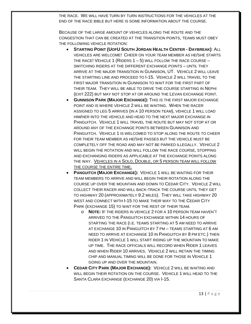THE RACE. WE WILL HAVE TURN BY TURN INSTRUCTIONS FOR THE VEHICLES AT THE END OF THE RACE BIBLE BUT HERE IS SOME INFORMATION ABOUT THE COURSE.

BECAUSE OF THE LARGE AMOUNT OF VEHICLES ALONG THE ROUTE AND THE CONGESTION THAT CAN BE CREATED AT THE TRANSITION POINTS, TEAMS MUST OBEY THE FOLLOWING VEHICLE ROTATION:

- **STARTING POINT (UOFU SOUTH JORDAN HEALTH CENTER - DAYBREAK)**: ALL VEHICLES ARE WELCOME! CHEER ON YOUR TEAM MEMBER AS HE/SHE STARTS THE RACE! VEHICLE 1 (RIDERS  $1-5$ ) WILL FOLLOW THE RACE COURSE  $-$ SWITCHING RIDERS AT THE DIFFERENT EXCHANGE POINTS – UNTIL THEY ARRIVE AT THE MAJOR TRANSITION IN GUNNISON, UT. VEHICLE 2 WILL LEAVE THE STARTING LINE AND PROCEED TO I-15. VEHICLE 2 WILL TRAVEL TO THE FIRST MAJOR TRANSITION IN GUNNISON TO WAIT FOR THE FIRST PART OF THEIR TEAM. THEY WILL BE ABLE TO DRIVE THE COURSE STARTING IN NEPHI (EXIT 222) BUT MAY NOT STOP AT OR AROUND THE LEVAN EXCHANGE POINT.
- **GUNNISON PARK (MAJOR EXCHANGE):** THIS IS THE FIRST MAJOR EXCHANGE POINT AND IS WHERE VEHICLE 2 WILL BE WAITING. WHEN THE RACER ASSIGNED TO LEG 5 ARRIVES (IN A 10 PERSON TEAM), VEHICLE 1 WILL LOAD HIM/HER INTO THE VEHICLE AND HEAD TO THE NEXT MAJOR EXCHANGE IN PANGUITCH. VEHICLE 1 WILL TRAVEL THE ROUTE BUT MAY NOT STOP AT OR AROUND ANY OF THE EXCHANGE POINTS BETWEEN GUNNISON AND PANGUITCH. VEHICLE 1 IS WELCOMED TO STOP ALONG THE ROUTE TO CHEER FOR THEIR TEAM MEMBER AS HE/SHE PASSES BUT THE VEHICLE MUST BE COMPLETELY OFF THE ROAD AND MAY NOT BE PARKED ILLEGALLY. VEHICLE 2 WILL BEGIN THE ROTATION AND WILL FOLLOW THE RACE COURSE, STOPPING AND EXCHANGING RIDERS AS APPLICABLE AT THE EXCHANGE POINTS ALONG THE WAY. VEHICLES IN A SOLO, DOUBLE, OR 5 PERSON TEAM WILL FOLLOW THE COURSE THE ENTIRE TIME.
- **PANGUITCH (MAJOR EXCHANGE):** VEHICLE 1 WILL BE WAITING FOR THEIR TEAM MEMBERS TO ARRIVE AND WILL BEGIN THEIR ROTATION ALONG THE COURSE UP OVER THE MOUNTAIN AND DOWN TO CEDAR CITY. VEHICLE 2 WILL COLLECT THEIR RACER AND WILL BACK-TRACK THE COURSE UNTIL THEY GET TO HIGHWAY 20 (APPROXIMATELY 9.2 MILES). THEY WILL TAKE HIGHWAY 20 WEST AND CONNECT WITH I-15 TO MAKE THEIR WAY TO THE CEDAR CITY PARK (EXCHANGE 15) TO WAIT FOR THE REST OF THEIR TEAM.
	- o **NOTE:** IF THE RIDERS IN VEHICLE 2 FOR A 10 PERSON TEAM HAVEN'T ARRIVED TO THE PANGUITCH EXCHANGE WITHIN 14 HOURS OF STARTING THE RACE (I.E. TEAMS STARTING AT 5 AM NEED TO ARRIVE AT EXCHANGE 10 IN PANGUITCH BY 7 PM – TEAMS STARTING AT 6 AM NEED TO ARRIVE AT EXCHANGE 10 IN PANGUITCH BY 8 PM ETC.) THEN RIDER 1 IN VEHICLE 1 WILL START RIDING UP THE MOUNTAIN TO MAKE UP TIME. THE RACE OFFICIALS WILL RECORD WHEN RIDER 1 LEAVES AND WHEN RIDER 10 ARRIVES. VEHICLE 2 WILL RETAIN THE TIMING CHIP AND MANUAL TIMING WILL BE DONE FOR THOSE IN VEHICLE 1 GOING UP AND OVER THE MOUNTAIN.
- **CEDAR CITY PARK (MAJOR EXCHANGE):** VEHICLE 2 WILL BE WAITING AND WILL BEGIN THEIR ROTATION ON THE COURSE. VEHICLE 1 WILL HEAD TO THE SANTA CLARA EXCHANGE (EXCHANGE 20) VIA I-15.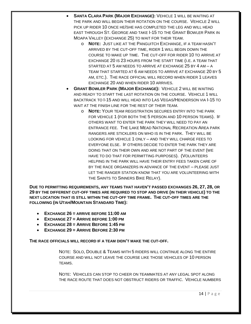- **SANTA CLARA PARK (MAJOR EXCHANGE):** VEHICLE 1 WILL BE WAITING AT THE PARK AND WILL BEGIN THEIR ROTATION ON THE COURSE. VEHICLE 2 WILL PICK UP RIDER 10 ONCE HE/SHE HAS COMPLETED THE LEG AND WILL HEAD EAST THROUGH ST. GEORGE AND TAKE I-15 TO THE GRANT BOWLER PARK IN MOAPA VALLEY (EXCHANGE 25) TO WAIT FOR THEIR TEAM.
	- o **NOTE:** JUST LIKE AT THE PANGUITCH EXCHANGE, IF A TEAM HASN'T ARRIVED BY THE CUT-OFF TIME, RIDER 1 WILL BEGIN DOWN THE COURSE TO MAKE UP TIME. THE CUT-OFF FOR RIDER 10 TO ARRIVE AT EXCHANGE 20 IS 23 HOURS FROM THE START TIME (I.E. A TEAM THAT STARTED AT 5 AM NEEDS TO ARRIVE AT EXCHANGE 25 BY 4 AM – A TEAM THAT STARTED AT 6 AM NEEDS TO ARRIVE AT EXCHANGE 20 BY 5 AM, ETC.). THE RACE OFFICIAL WILL RECORD WHEN RIDER 1 LEAVES EXCHANGE 20 AND WHEN RIDER 10 ARRIVES.
- **GRANT BOWLER PARK (MAJOR EXCHANGE):** VEHICLE 2 WILL BE WAITING AND READY TO START THE LAST ROTATION ON THE COURSE. VEHICLE 1 WILL BACKTRACK TO I-15 AND WILL HEAD INTO LAS VEGAS/HENDERSON VIA I-15 TO WAIT AT THE FINISH LINE FOR THE REST OF THEIR TEAM.
	- o **NOTE:** YOUR TEAM REGISTRATION SECURES ENTRY INTO THE PARK FOR VEHICLE 1 (FOR BOTH THE 5 PERSON AND 10 PERSON TEAMS). IF OTHERS WANT TO ENTER THE PARK THEY WILL NEED TO PAY AN ENTRANCE FEE. THE LAKE MEAD NATIONAL RECREATION AREA PARK RANGERS ARE STICKLERS ON WHO IS IN THE PARK. THEY WILL BE LOOKING FOR VEHICLE 1 ONLY – AND THEY WILL CHARGE FEES TO EVERYONE ELSE. IF OTHERS DECIDE TO ENTER THE PARK THEY ARE DOING THAT ON THEIR OWN AND ARE NOT PART OF THE EVENT (WE HAVE TO DO THAT FOR PERMITTING PURPOSES). (VOLUNTEERS HELPING IN THE PARK WILL HAVE THEIR ENTRY FEES TAKEN CARE OF BY THE RACE ORGANIZERS IN ADVANCE OF THE EVENT – PLEASE JUST LET THE RANGER STATION KNOW THAT YOU ARE VOLUNTEERING WITH THE SAINTS TO SINNERS BIKE RELAY).

**DUE TO PERMITTING REQUIREMENTS, ANY TEAMS THAT HAVEN'T PASSED EXCHANGES 26, 27, 28, OR 29 BY THE DIFFERENT CUT-OFF TIMES ARE REQUIRED TO STOP AND DRIVE (IN THEIR VEHICLE) TO THE NEXT LOCATION THAT IS STILL WITHIN THE CUT-OFF TIME FRAME. THE CUT-OFF TIMES ARE THE FOLLOWING (IN UTAH/MOUNTAIN STANDARD TIME):**

- **EXCHANGE 26 = ARRIVE BEFORE 11:00 AM**
- **EXCHANGE 27 = ARRIVE BEFORE 1:00 PM**
- **EXCHANGE 28 = ARRIVE BEFORE 1:45 PM**
- **EXCHANGE 29 = ARRIVE BEFORE 2:30 PM**

**THE RACE OFFICIALS WILL RECORD IF A TEAM DIDN'T MAKE THE CUT-OFF.**

NOTE: SOLO, DOUBLE & TEAMS WITH 5 RIDERS WILL CONTINUE ALONG THE ENTIRE COURSE AND WILL NOT LEAVE THE COURSE LIKE THOSE VEHICLES OF 10 PERSON TEAMS.

NOTE: VEHICLES CAN STOP TO CHEER ON TEAMMATES AT ANY LEGAL SPOT ALONG THE RACE ROUTE THAT DOES NOT OBSTRUCT RIDERS OR TRAFFIC. VEHICLE NUMBERS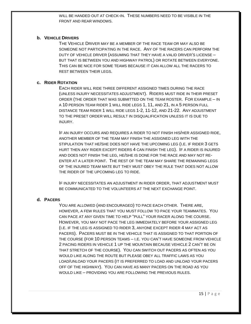WILL BE HANDED OUT AT CHECK-IN. THESE NUMBERS NEED TO BE VISIBLE IN THE FRONT AND REAR WINDOWS.

#### **b. VEHICLE DRIVERS**

THE VEHICLE DRIVER MAY BE A MEMBER OF THE RACE TEAM OR MAY ALSO BE SOMEONE NOT PARTICIPATING IN THE RACE. ANY OF THE RACERS CAN PERFORM THE DUTY OF VEHICLE DRIVER (ASSUMING THAT THEY HAVE A VALID DRIVER'S LICENSE – BUT THAT IS BETWEEN YOU AND HIGHWAY PATROL) OR ROTATE BETWEEN EVERYONE. THIS CAN BE NICE FOR SOME TEAMS BECAUSE IT CAN ALLOW ALL THE RACERS TO REST BETWEEN THEIR LEGS.

#### **c. RIDER ROTATION**

EACH RIDER WILL RIDE THREE DIFFERENT ASSIGNED TIMES DURING THE RACE (UNLESS INJURY NECESSITATES ADJUSTMENT). RIDERS MUST RIDE IN THEIR PRESET ORDER (THE ORDER THAT WAS SUBMITTED ON THE TEAM ROSTER. FOR EXAMPLE – IN A 10 PERSON TEAM RIDER 1 WILL RIDE LEGS 1, 11, AND 21, IN A 5 PERSON FULL DISTANCE TEAM RIDER 1 WILL RIDE LEGS 1-2, 11-12, AND 21-22. ANY ADJUSTMENT TO THE PRESET ORDER WILL RESULT IN DISQUALIFICATION UNLESS IT IS DUE TO INJURY.

IF AN INJURY OCCURS AND REQUIRES A RIDER TO NOT FINISH HIS/HER ASSIGNED RIDE, ANOTHER MEMBER OF THE TEAM MAY FINISH THE ASSIGNED LEG WITH THE STIPULATION THAT HE/SHE DOES NOT HAVE THE UPCOMING LEG (I.E. IF RIDER 3 GETS HURT THEN ANY RIDER EXCEPT RIDERS 4 CAN FINISH THE LEG). IF A RIDER IS INJURED AND DOES NOT FINISH THE LEG, HE/SHE IS DONE FOR THE RACE AND MAY NOT RE-ENTER AT A LATER POINT. THE REST OF THE TEAM MAY SHARE THE REMAINING LEGS OF THE INJURED TEAM MATE BUT THEY MUST OBEY THE RULE THAT DOES NOT ALLOW THE RIDER OF THE UPCOMING LEG TO RIDE.

IF INJURY NECESSITATES AN ADJUSTMENT IN RIDER ORDER, THAT ADJUSTMENT MUST BE COMMUNICATED TO THE VOLUNTEERS AT THE NEXT EXCHANGE POINT.

#### **d. PACERS**

YOU ARE ALLOWED (AND ENCOURAGED) TO PACE EACH OTHER. THERE ARE, HOWEVER, A FEW RULES THAT YOU MUST FOLLOW TO PACE YOUR TEAMMATES. YOU CAN PACE AT ANY GIVEN TIME TO HELP "PULL" YOUR RACER ALONG THE COURSE. HOWEVER, YOU MAY NOT PACE THE LEG IMMEDIATELY BEFORE YOUR ASSIGNED LEG (I.E. IF THE LEG IS ASSIGNED TO RIDER 3, ANYONE EXCEPT RIDER 4 MAY ACT AS PACERS). PACERS MUST BE IN THE VEHICLE THAT IS ASSIGNED TO THAT PORTION OF THE COURSE (FOR 10 PERSON TEAMS – I.E. YOU CAN'T HAVE SOMEONE FROM VEHICLE 2 PACING RIDERS IN VEHICLE 1 UP THE MOUNTAIN BECAUSE VEHICLE 2 CAN'T BE ON THAT STRETCH OF THE COURSE). YOU CAN SWITCH OUT PACERS AS OFTEN AS YOU WOULD LIKE ALONG THE ROUTE BUT PLEASE OBEY ALL TRAFFIC LAWS AS YOU LOAD/UNLOAD YOUR PACERS (IT IS PREFERRED TO LOAD AND UNLOAD YOUR PACERS OFF OF THE HIGHWAY). YOU CAN HAVE AS MANY PACERS ON THE ROAD AS YOU WOULD LIKE – PROVIDING YOU ARE FOLLOWING THE PREVIOUS RULES.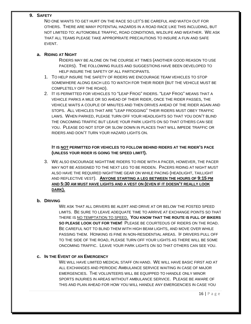#### **9. SAFETY**

NO ONE WANTS TO GET HURT ON THE RACE SO LET'S BE CAREFUL AND WATCH OUT FOR OTHERS. THERE ARE MANY POTENTIAL HAZARDS IN A ROAD RACE LIKE THIS INCLUDING, BUT NOT LIMITED TO: AUTOMOBILE TRAFFIC, ROAD CONDITIONS, WILDLIFE AND WEATHER. WE ASK THAT ALL TEAMS PLEASE TAKE APPROPRIATE PRECAUTIONS TO INSURE A FUN AND SAFE EVENT.

#### **a. RIDING AT NIGHT**

RIDERS MAY BE ALONE ON THE COURSE AT TIMES (ANOTHER GOOD REASON TO USE PACERS). THE FOLLOWING RULES AND SUGGESTIONS HAVE BEEN DEVELOPED TO HELP INSURE THE SAFETY OF ALL PARTICIPANTS.

- 1. TO HELP INSURE THE SAFETY OF RIDERS WE ENCOURAGE TEAM VEHICLES TO STOP SOMEWHERE ALONG EACH LEG TO WATCH FOR THEIR RIDER (BUT THE VEHICLE MUST BE COMPLETELY OFF THE ROAD).
- 2. IT IS PERMITTED FOR VEHICLES TO "LEAP FROG" RIDERS. "LEAP FROG" MEANS THAT A VEHICLE PARKS A MILE OR SO AHEAD OF THEIR RIDER, ONCE THE RIDER PASSES, THE VEHICLE WAITS A COUPLE OF MINUTES AND THEN DRIVES AHEAD OF THE RIDER AGAIN AND STOPS. ALL VEHICLES THAT ARE "LEAP FROGGING" THEIR RIDERS MUST OBEY TRAFFIC LAWS. WHEN PARKED, PLEASE TURN OFF YOUR HEADLIGHTS SO THAT YOU DON'T BLIND THE ONCOMING TRAFFIC BUT LEAVE YOUR PARK LIGHTS ON SO THAT OTHERS CAN SEE YOU. PLEASE DO NOT STOP OR SLOW DOWN IN PLACES THAT WILL IMPEDE TRAFFIC OR RIDERS AND DON'T TURN YOUR HAZARD LIGHTS ON.

#### **IT IS NOT PERMITTED FOR VEHICLES TO FOLLOW BEHIND RIDERS AT THE RIDER'S PACE (UNLESS YOUR RIDER IS GOING THE SPEED LIMIT!).**

3. WE ALSO ENCOURAGE NIGHTTIME RIDERS TO RIDE WITH A PACER, HOWEVER, THE PACER MAY NOT BE ASSIGNED TO THE NEXT LEG TO BE RIDDEN. PACERS RIDING AT NIGHT MUST ALSO HAVE THE REQUIRED NIGHTTIME GEAR ON WHILE PACING (HEADLIGHT, TAILLIGHT AND REFLECTIVE VEST). **ANYONE STARTING A LEG BETWEEN THE HOURS OF 9:15 PM AND 5:30 AM MUST HAVE LIGHTS AND A VEST ON (EVEN IF IT DOESN'T REALLY LOOK DARK).**

#### **b. DRIVING**

WE ASK THAT ALL DRIVERS BE ALERT AND DRIVE AT OR BELOW THE POSTED SPEED LIMITS. BE SURE TO LEAVE ADEQUATE TIME TO ARRIVE AT EXCHANGE POINTS SO THAT THERE IS NO TEMPTATION TO SPEED. **YOU KNOW THAT THE ROUTE IS FULL OF BIKERS SO PLEASE LOOK OUT FOR THEM!** PLEASE BE COURTEOUS OF RIDERS ON THE ROAD. BE CAREFUL NOT TO BLIND THEM WITH HIGH BEAM LIGHTS, AND MOVE OVER WHILE PASSING THEM. HONKING IS FINE IN NON-RESIDENTIAL AREAS. IF DRIVERS PULL OFF TO THE SIDE OF THE ROAD, PLEASE TURN OFF YOUR LIGHTS AS THERE WILL BE SOME ONCOMING TRAFFIC. LEAVE YOUR PARK LIGHTS ON SO THAT OTHERS CAN SEE YOU.

#### **c. IN THE EVENT OF AN EMERGENCY**

WE WILL HAVE LIMITED MEDICAL STAFF ON HAND. WE WILL HAVE BASIC FIRST AID AT ALL EXCHANGES AND PERIODIC AMBULANCE SERVICE WAITING IN CASE OF MAJOR EMERGENCIES. THE VOLUNTEERS WILL BE EQUIPPED TO HANDLE ONLY MINOR SPORTS INJURIES IN AREAS WITHOUT AMBULANCE SERVICE. PLEASE BE AWARE OF THIS AND PLAN AHEAD FOR HOW YOU WILL HANDLE ANY EMERGENCIES IN CASE YOU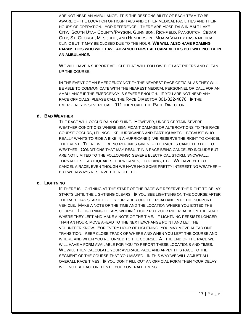ARE NOT NEAR AN AMBULANCE. IT IS THE RESPONSIBILITY OF EACH TEAM TO BE AWARE OF THE LOCATION OF HOSPITALS AND OTHER MEDICAL FACILITIES AND THEIR HOURS OF OPERATION. FOR REFERENCE: THERE ARE HOSPITALS IN SALT LAKE CITY, SOUTH UTAH COUNTY/PAYSON, GUNNISON, RICHFIELD, PANGUITCH, CEDAR CITY, ST. GEORGE, MESQUITE, AND HENDERSON. MOAPA VALLEY HAS A MEDICAL CLINIC BUT IT MAY BE CLOSED DUE TO THE HOUR. **WE WILL ALSO HAVE ROAMING PARAMEDICS WHO WILL HAVE ADVANCED FIRST AID CAPABILITIES BUT WILL NOT BE IN AN AMBULANCE.**

WE WILL HAVE A SUPPORT VEHICLE THAT WILL FOLLOW THE LAST RIDERS AND CLEAN UP THE COURSE.

IN THE EVENT OF AN EMERGENCY NOTIFY THE NEAREST RACE OFFICIAL AS THEY WILL BE ABLE TO COMMUNICATE WITH THE NEAREST MEDICAL PERSONNEL OR CALL FOR AN AMBULANCE IF THE EMERGENCY IS SEVERE ENOUGH. IF YOU ARE NOT NEAR ANY RACE OFFICIALS, PLEASE CALL THE RACE DIRECTOR 801-822-4870. IF THE EMERGENCY IS SEVERE CALL 911 THEN CALL THE RACE DIRECTOR.

#### **d. BAD WEATHER**

THE RACE WILL OCCUR RAIN OR SHINE. HOWEVER, UNDER CERTAIN SEVERE WEATHER CONDITIONS WHERE SIGNIFICANT DAMAGE OR ALTERCATIONS TO THE RACE COURSE OCCURS, (THINGS LIKE HURRICANES AND EARTHQUAKES – BECAUSE WHO REALLY WANTS TO RIDE A BIKE IN A HURRICANE!), WE RESERVE THE RIGHT TO CANCEL THE EVENT. THERE WILL BE NO REFUNDS GIVEN IF THE RACE IS CANCELED DUE TO WEATHER. CONDITIONS THAT MAY RESULT IN A RACE BEING CANCELED INCLUDE BUT ARE NOT LIMITED TO THE FOLLOWING: SEVERE ELECTRICAL STORM, SNOWFALL, TORNADOES, EARTHQUAKES, HURRICANES, FLOODING, ETC. WE HAVE YET TO CANCEL A RACE, EVEN THOUGH WE HAVE HAD SOME PRETTY INTERESTING WEATHER – BUT WE ALWAYS RESERVE THE RIGHT TO.

#### **e. LIGHTNING**

IF THERE IS LIGHTNING AT THE START OF THE RACE WE RESERVE THE RIGHT TO DELAY STARTS UNTIL THE LIGHTNING CLEARS. IF YOU SEE LIGHTNING ON THE COURSE AFTER THE RACE HAS STARTED GET YOUR RIDER OFF THE ROAD AND INTO THE SUPPORT VEHICLE. MAKE A NOTE OF THE TIME AND THE LOCATION WHERE YOU EXITED THE COURSE. IF LIGHTNING CLEARS WITHIN 1 HOUR PUT YOUR RIDER BACK ON THE ROAD WHERE THEY LEFT AND MAKE A NOTE OF THE TIME. IF LIGHTNING PERSISTS LONGER THAN AN HOUR, MOVE AHEAD TO THE NEXT EXCHANGE POINT AND LET THE VOLUNTEER KNOW. FOR EVERY HOUR OF LIGHTNING, YOU MAY MOVE AHEAD ONE TRANSITION. KEEP CLOSE TRACK OF WHERE AND WHEN YOU LEFT THE COURSE AND WHERE AND WHEN YOU RETURNED TO THE COURSE. AT THE END OF THE RACE WE WILL HAVE A FORM AVAILABLE FOR YOU TO REPORT THESE LOCATIONS AND TIMES. WE WILL THEN CALCULATE YOUR AVERAGE PACE AND APPLY THIS PACE TO THE SEGMENT OF THE COURSE THAT YOU MISSED. IN THIS WAY WE WILL ADJUST ALL OVERALL RACE TIMES. IF YOU DON'T FILL OUT AN OFFICIAL FORM THEN YOUR DELAY WILL NOT BE FACTORED INTO YOUR OVERALL TIMING.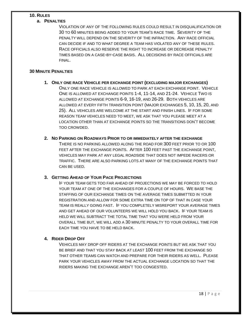#### **10. RULES**

#### **a. PENALTIES**

VIOLATION OF ANY OF THE FOLLOWING RULES COULD RESULT IN DISQUALIFICATION OR 30 TO 60 MINUTES BEING ADDED TO YOUR TEAM'S RACE TIME. SEVERITY OF THE PENALTY WILL DEPEND ON THE SEVERITY OF THE INFRACTION. ANY RACE OFFICIAL CAN DECIDE IF AND TO WHAT DEGREE A TEAM HAS VIOLATED ANY OF THESE RULES. RACE OFFICIALS ALSO RESERVE THE RIGHT TO INCREASE OR DECREASE PENALTY TIMES BASED ON A CASE-BY-CASE BASIS. ALL DECISIONS BY RACE OFFICIALS ARE FINAL.

#### **30 MINUTE PENALTIES**

- **1. ONLY ONE RACE VEHICLE PER EXCHANGE POINT (EXCLUDING MAJOR EXCHANGES)** ONLY ONE RACE VEHICLE IS ALLOWED TO PARK AT EACH EXCHANGE POINT. VEHICLE ONE IS ALLOWED AT EXCHANGE POINTS 1-4, 11-14, AND 21-24. VEHICLE TWO IS ALLOWED AT EXCHANGE POINTS 6-9, 16-19, AND 26-29. BOTH VEHICLES ARE ALLOWED AT EVERY FIFTH TRANSITION POINT (MAJOR EXCHANGES 5, 10, 15, 20, AND 25). ALL VEHICLES ARE WELCOME AT THE START AND FINISH LINES. IF FOR SOME REASON TEAM VEHICLES NEED TO MEET, WE ASK THAT YOU PLEASE MEET AT A LOCATION OTHER THAN AT EXCHANGE POINTS SO THE TRANSITIONS DON'T BECOME TOO CROWDED.
- **2. NO PARKING ON ROADWAYS PRIOR TO OR IMMEDIATELY AFTER THE EXCHANGE** THERE IS NO PARKING ALLOWED ALONG THE ROAD FOR 300 FEET PRIOR TO OR 100 FEET AFTER THE EXCHANGE POINTS. AFTER 100 FEET PAST THE EXCHANGE POINT, VEHICLES MAY PARK AT ANY LEGAL ROADSIDE THAT DOES NOT IMPEDE RACERS OR TRAFFIC. THERE ARE ALSO PARKING LOTS AT MANY OF THE EXCHANGE POINTS THAT CAN BE USED.

#### **3. GETTING AHEAD OF YOUR PACE PROJECTIONS**

IF YOUR TEAM GETS TOO FAR AHEAD OF PROJECTIONS WE MAY BE FORCED TO HOLD YOUR TEAM AT ONE OF THE EXCHANGES FOR A COUPLE OF HOURS. WE BASE THE STAFFING OF OUR EXCHANGE TIMES ON THE AVERAGE TIMES SUBMITTED IN YOUR REGISTRATION AND ALLOW FOR SOME EXTRA TIME ON TOP OF THAT IN CASE YOUR TEAM IS REALLY GOING FAST. IF YOU COMPLETELY MISREPORT YOUR AVERAGE TIMES AND GET AHEAD OF OUR VOLUNTEERS WE WILL HOLD YOU BACK. IF YOUR TEAM IS HELD WE WILL SUBTRACT THE TOTAL TIME THAT YOU WERE HELD FROM YOUR OVERALL TIME BUT, WE WILL ADD A 30 MINUTE PENALTY TO YOUR OVERALL TIME FOR EACH TIME YOU HAVE TO BE HELD BACK.

#### **4. RIDER DROP OFF**

VEHICLES MAY DROP OFF RIDERS AT THE EXCHANGE POINTS BUT WE ASK THAT YOU BE BRIEF AND THAT YOU STAY BACK AT LEAST 100 FEET FROM THE EXCHANGE SO THAT OTHER TEAMS CAN WATCH AND PREPARE FOR THEIR RIDERS AS WELL. PLEASE PARK YOUR VEHICLES AWAY FROM THE ACTUAL EXCHANGE LOCATION SO THAT THE RIDERS MAKING THE EXCHANGE AREN'T TOO CONGESTED.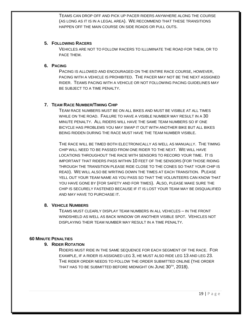TEAMS CAN DROP OFF AND PICK UP PACER RIDERS ANYWHERE ALONG THE COURSE (AS LONG AS IT IS IN A LEGAL AREA). WE RECOMMEND THAT THESE TRANSITIONS HAPPEN OFF THE MAIN COURSE ON SIDE ROADS OR PULL OUTS.

#### **5. FOLLOWING RACERS**

VEHICLES ARE NOT TO FOLLOW RACERS TO ILLUMINATE THE ROAD FOR THEM, OR TO PACE THEM.

#### **6. PACING**

PACING IS ALLOWED AND ENCOURAGED ON THE ENTIRE RACE COURSE, HOWEVER, PACING WITH A VEHICLE IS PROHIBITED. THE PACER MAY NOT BE THE NEXT ASSIGNED RIDER. TEAMS PACING WITH A VEHICLE OR NOT FOLLOWING PACING GUIDELINES MAY BE SUBJECT TO A TIME PENALTY.

#### **7. TEAM RACE NUMBER/TIMING CHIP**

TEAM RACE NUMBERS MUST BE ON ALL BIKES AND MUST BE VISIBLE AT ALL TIMES WHILE ON THE ROAD. FAILURE TO HAVE A VISIBLE NUMBER MAY RESULT IN A 30 MINUTE PENALTY. ALL RIDERS WILL HAVE THE SAME TEAM NUMBERS SO IF ONE BICYCLE HAS PROBLEMS YOU MAY SWAP IT OUT WITH ANOTHER BIKE BUT ALL BIKES BEING RIDDEN DURING THE RACE MUST HAVE THE TEAM NUMBER VISIBLE.

THE RACE WILL BE TIMED BOTH ELECTRONICALLY AS WELL AS MANUALLY. THE TIMING CHIP WILL NEED TO BE PASSED FROM ONE RIDER TO THE NEXT. WE WILL HAVE LOCATIONS THROUGHOUT THE RACE WITH SENSORS TO RECORD YOUR TIME. IT IS IMPORTANT THAT RIDERS PASS WITHIN 10 FEET OF THE SENSORS (FOR THOSE RIDING THROUGH THE TRANSITION PLEASE RIDE CLOSE TO THE CONES SO THAT YOUR CHIP IS READ). WE WILL ALSO BE WRITING DOWN THE TIMES AT EACH TRANSITION. PLEASE YELL OUT YOUR TEAM NAME AS YOU PASS SO THAT THE VOLUNTEERS CAN KNOW THAT YOU HAVE GONE BY (FOR SAFETY AND FOR TIMES). ALSO, PLEASE MAKE SURE THE CHIP IS SECURELY FASTENED BECAUSE IF IT IS LOST YOUR TEAM MAY BE DISQUALIFIED AND MAY HAVE TO PURCHASE IT.

#### **8. VEHICLE NUMBERS**

TEAMS MUST CLEARLY DISPLAY TEAM NUMBERS IN ALL VEHICLES – IN THE FRONT WINDSHIELD AS WELL AS BACK WINDOW OR ANOTHER VISIBLE SPOT. VEHICLES NOT DISPLAYING THEIR TEAM NUMBER MAY RESULT IN A TIME PENALTY.

#### **60 MINUTE PENALTIES**

#### **9. RIDER ROTATION**

RIDERS MUST RIDE IN THE SAME SEQUENCE FOR EACH SEGMENT OF THE RACE. FOR EXAMPLE, IF A RIDER IS ASSIGNED LEG 3, HE MUST ALSO RIDE LEG 13 AND LEG 23. THE RIDER ORDER NEEDS TO FOLLOW THE ORDER SUBMITTED ONLINE (THE ORDER THAT HAS TO BE SUBMITTED BEFORE MIDNIGHT ON JUNE 30<sup>TH</sup>, 2018).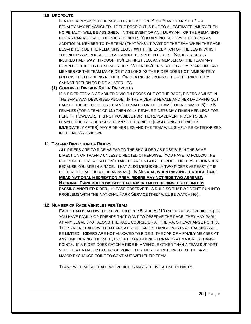#### **10. DROPOUTS**

IF A RIDER DROPS OUT BECAUSE HE/SHE IS "TIRED" OR "CAN'T HANDLE IT" – A PENALTY MAY BE ASSIGNED. IF THE DROP OUT IS DUE TO A LEGITIMATE INJURY THEN NO PENALTY WILL BE ASSIGNED. IN THE EVENT OF AN INJURY ANY OF THE REMAINING RIDERS CAN REPLACE THE INJURED RIDER. YOU ARE NOT ALLOWED TO BRING AN ADDITIONAL MEMBER TO THE TEAM (THAT WASN'T PART OF THE TEAM WHEN THE RACE BEGAN) TO RIDE THE REMAINING LEGS. WITH THE EXCEPTION OF THE LEG IN WHICH THE RIDER WAS INJURED, LEGS CANNOT BE SPLIT IN PIECES. SO, IF A RIDER IS INJURED HALF WAY THROUGH HIS/HER FIRST LEG, ANY MEMBER OF THE TEAM MAY COMPLETE THE LEG FOR HIM OR HER. WHEN HIS/HER NEXT LEG COMES AROUND ANY MEMBER OF THE TEAM MAY RIDE IT AS LONG AS THE RIDER DOES NOT IMMEDIATELY FOLLOW THE LEG BEING RIDDEN. ONCE A RIDER DROPS OUT OF THE RACE THEY CANNOT RETURN TO RIDE A LATER LEG.

#### **(1) COMBINED DIVISION RIDER DROPOUTS**

IF A RIDER FROM A COMBINED DIVISION DROPS OUT OF THE RACE, RIDERS ADJUST IN THE SAME WAY DESCRIBED ABOVE. IF THE RIDER IS FEMALE AND HER DROPPING OUT CAUSES THERE TO BE LESS THAN 2 FEMALES ON THE TEAM (FOR A TEAM OF 5) OR 5 FEMALES (FOR A TEAM OF 10) THEN ONLY FEMALE RIDERS MAY FINISH HER LEGS FOR HER. IF, HOWEVER, IT IS NOT POSSIBLE FOR THE REPLACEMENT RIDER TO BE A FEMALE DUE TO RIDER ORDER, ANY OTHER RIDER (EXCLUDING THE RIDERS IMMEDIATELY AFTER) MAY RIDE HER LEG AND THE TEAM WILL SIMPLY BE CATEGORIZED IN THE MEN'S DIVISION.

#### **11. TRAFFIC DIRECTION OF RIDERS**

ALL RIDERS ARE TO RIDE AS FAR TO THE SHOULDER AS POSSIBLE IN THE SAME DIRECTION OF TRAFFIC UNLESS DIRECTED OTHERWISE. YOU HAVE TO FOLLOW THE RULES OF THE ROAD SO DON'T TAKE CHANCES GOING THROUGH INTERSECTIONS JUST BECAUSE YOU ARE IN A RACE. THAT ALSO MEANS ONLY TWO RIDERS ABREAST (IT IS BETTER TO DRAFT IN A LINE ANYWAY!). **IN NEVADA, WHEN PASSING THROUGH LAKE MEAD NATIONAL RECREATION AREA, RIDERS MAY NOT RIDE TWO ABREAST. NATIONAL PARK RULES DICTATE THAT RIDERS MUST BE SINGLE FILE UNLESS PASSING ANOTHER RIDER.** PLEASE OBSERVE THIS RULE SO THAT WE DON'T RUN INTO PROBLEMS WITH THE NATIONAL PARK SERVICE (THEY WILL BE WATCHING).

#### **12. NUMBER OF RACE VEHICLES PER TEAM**

EACH TEAM IS ALLOWED ONE VEHICLE PER 5 RIDERS (10 RIDERS = TWO VEHICLES). IF YOU HAVE FAMILY OR FRIENDS THAT WANT TO OBSERVE THE RACE, THEY MAY PARK AT ANY LEGAL SPOT ALONG THE RACE COURSE OR AT THE MAJOR EXCHANGE POINTS. THEY ARE NOT ALLOWED TO PARK AT REGULAR EXCHANGE POINTS AS PARKING WILL BE LIMITED. RIDERS ARE NOT ALLOWED TO RIDE IN THE CAR OF A FAMILY MEMBER AT ANY TIME DURING THE RACE, EXCEPT TO RUN BRIEF ERRANDS AT MAJOR EXCHANGE POINTS. IF A RIDER DOES CATCH A RIDE IN A VEHICLE OTHER THAN A TEAM SUPPORT VEHICLE AT A MAJOR EXCHANGE POINT THEY MUST BE RETURNED TO THE SAME MAJOR EXCHANGE POINT TO CONTINUE WITH THEIR TEAM.

TEAMS WITH MORE THAN TWO VEHICLES MAY RECEIVE A TIME PENALTY.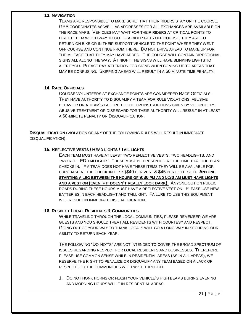#### **13. NAVIGATION**

TEAMS ARE RESPONSIBLE TO MAKE SURE THAT THEIR RIDERS STAY ON THE COURSE. GPS COORDINATES AS WELL AS ADDRESSES FOR ALL EXCHANGES ARE AVAILABLE ON THE RACE MAPS. VEHICLES MAY WAIT FOR THEIR RIDERS AT CRITICAL POINTS TO DIRECT THEM WHICH WAY TO GO. IF A RIDER GETS OFF COURSE, THEY ARE TO RETURN ON BIKE OR IN THEIR SUPPORT VEHICLE TO THE POINT WHERE THEY WENT OFF COURSE AND CONTINUE FROM THERE. DO NOT DRIVE AHEAD TO MAKE UP FOR THE MILEAGE THAT THEY MAY HAVE ADDED. THE COURSE WILL CONTAIN DIRECTIONAL SIGNS ALL ALONG THE WAY. AT NIGHT THE SIGNS WILL HAVE BLINKING LIGHTS TO ALERT YOU. PLEASE PAY ATTENTION FOR SIGNS WHEN COMING UP TO AREAS THAT MAY BE CONFUSING. SKIPPING AHEAD WILL RESULT IN A 60 MINUTE TIME PENALTY.

#### **14. RACE OFFICIALS**

COURSE VOLUNTEERS AT EXCHANGE POINTS ARE CONSIDERED RACE OFFICIALS. THEY HAVE AUTHORITY TO DISQUALIFY A TEAM FOR RULE VIOLATIONS, ABUSIVE BEHAVIOR OR A TEAM'S FAILURE TO FOLLOW INSTRUCTIONS GIVEN BY VOLUNTEERS. ABUSIVE TREATMENT OR DISREGARD FOR THEIR AUTHORITY WILL RESULT IN AT LEAST A 60-MINUTE PENALTY OR DISQUALIFICATION.

**DISQUALIFICATION** (VIOLATION OF ANY OF THE FOLLOWING RULES WILL RESULT IN IMMEDIATE DISQUALIFICATION).

#### **15. REFLECTIVE VESTS / HEAD LIGHTS / TAIL LIGHTS**

EACH TEAM MUST HAVE AT LEAST TWO REFLECTIVE VESTS, TWO HEADLIGHTS, AND TWO RED LED TAILLIGHTS. THESE MUST BE PRESENTED AT THE TIME THAT THE TEAM CHECKS IN. IF A TEAM DOES NOT HAVE THESE ITEMS THEY WILL BE AVAILABLE FOR PURCHASE AT THE CHECK-IN DESK (\$40 PER VEST & \$45 PER LIGHT SET). **ANYONE STARTING A LEG BETWEEN THE HOURS OF 9:30 PM AND 5:30 AM MUST HAVE LIGHTS AND A VEST ON (EVEN IF IT DOESN'T REALLY LOOK DARK).** ANYONE OUT ON PUBLIC ROADS DURING THESE HOURS MUST HAVE A REFLECTIVE VEST ON. PLEASE USE NEW BATTERIES IN EACH HEADLIGHT AND TAILLIGHT. FAILURE TO USE THIS EQUIPMENT WILL RESULT IN IMMEDIATE DISQUALIFICATION.

#### **16. RESPECT LOCAL RESIDENTS & COMMUNITIES**

WHILE TRAVELING THROUGH THE LOCAL COMMUNITIES, PLEASE REMEMBER WE ARE GUESTS AND YOU SHOULD TREAT ALL RESIDENTS WITH COURTESY AND RESPECT. GOING OUT OF YOUR WAY TO THANK LOCALS WILL GO A LONG WAY IN SECURING OUR ABILITY TO RETURN EACH YEAR.

THE FOLLOWING "DO NOT'S" ARE NOT INTENDED TO COVER THE BROAD SPECTRUM OF ISSUES REGARDING RESPECT FOR LOCAL RESIDENTS AND BUSINESSES. THEREFORE, PLEASE USE COMMON SENSE WHILE IN RESIDENTIAL AREAS (AS IN ALL AREAS), WE RESERVE THE RIGHT TO PENALIZE OR DISQUALIFY ANY TEAM BASED ON A LACK OF RESPECT FOR THE COMMUNITIES WE TRAVEL THROUGH.

1. DO NOT HONK HORNS OR FLASH YOUR VEHICLE'S HIGH BEAMS DURING EVENING AND MORNING HOURS WHILE IN RESIDENTIAL AREAS.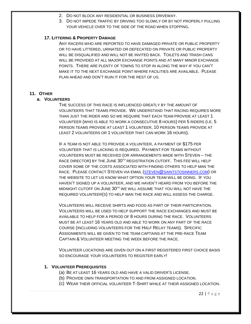- 2. DO NOT BLOCK ANY RESIDENTIAL OR BUSINESS DRIVEWAY.
- 3. DO NOT IMPEDE TRAFFIC BY DRIVING TOO SLOWLY OR BY NOT PROPERLY PULLING YOUR VEHICLE OVER TO THE SIDE OF THE ROAD WHEN STOPPING.

#### **17. LITTERING & PROPERTY DAMAGE**

ANY RACERS WHO ARE REPORTED TO HAVE DAMAGED PRIVATE OR PUBLIC PROPERTY OR TO HAVE LITTERED, URINATED OR DEFECATED ON PRIVATE OR PUBLIC PROPERTY WILL BE DISQUALIFIED AND WILL NOT BE INVITED BACK. TOILETS AND TRASH CANS WILL BE PROVIDED AT ALL MAJOR EXCHANGE POINTS AND AT MANY MINOR EXCHANGE POINTS. THERE ARE PLENTY OF TOWNS TO STOP IN ALONG THE WAY IF YOU CAN'T MAKE IT TO THE NEXT EXCHANGE POINT WHERE FACILITIES ARE AVAILABLE. PLEASE PLAN AHEAD AND DON'T RUIN IT FOR THE REST OF US.

#### **11. OTHER**

#### **a. VOLUNTEERS**

THE SUCCESS OF THIS RACE IS INFLUENCED GREATLY BY THE AMOUNT OF VOLUNTEERS THAT TEAMS PROVIDE. WE UNDERSTAND THAT RACING REQUIRES MORE THAN JUST THE RIDER AND SO WE REQUIRE THAT EACH TEAM PROVIDE AT LEAST 1 VOLUNTEER (WHO IS ABLE TO WORK A CONSECUTIVE 8 HOURS) PER 5 RIDERS (I.E. 5 PERSON TEAMS PROVIDE AT LEAST 1 VOLUNTEER, 10 PERSON TEAMS PROVIDE AT LEAST 2 VOLUNTEERS OR 1 VOLUNTEER THAT CAN WORK 16 HOURS).

IF A TEAM IS NOT ABLE TO PROVIDE A VOLUNTEER, A PAYMENT OF \$175 PER VOLUNTEER THAT IS LACKING IS REQUIRED. PAYMENT FOR TEAMS WITHOUT VOLUNTEERS MUST BE RECEIVED (OR ARRANGEMENTS MADE WITH STEVEN – THE RACE DIRECTOR) BY THE JUNE 30<sup>TH</sup> REGISTRATION CUTOFF. THIS FEE WILL HELP COVER SOME OF THE COSTS ASSOCIATED WITH FINDING OTHERS TO HELP MAN THE RACE. PLEASE CONTACT STEVEN VIA EMAIL [\(STEVEN@SAINTSTOSINNERS.COM\)](mailto:steven@saintstosinners.com) OR THE WEBSITE TO LET US KNOW WHAT OPTION YOUR TEAM WILL BE DOING. IF YOU HAVEN'T SIGNED UP A VOLUNTEER, AND WE HAVEN'T HEARD FROM YOU BEFORE THE MIDNIGHT CUTOFF ON JUNE 30TH WE WILL ASSUME THAT YOU WILL NOT HAVE THE REQUIRED VOLUNTEER(S) TO HELP MAN THE RACE AND WILL ASSESS THE CHARGE.

VOLUNTEERS WILL RECEIVE SHIRTS AND FOOD AS PART OF THEIR PARTICIPATION. VOLUNTEERS WILL BE USED TO HELP SUPPORT THE RACE EXCHANGES AND MUST BE AVAILABLE TO HELP FOR A PERIOD OF 8 HOURS DURING THE RACE. VOLUNTEERS MUST BE AT LEAST 16 YEARS OLD AND ABLE TO WORK ON ANY PART OF THE RACE COURSE (INCLUDING VOLUNTEERS FOR THE HALF RELAY TEAMS). SPECIFIC ASSIGNMENTS WILL BE GIVEN TO THE TEAM CAPTAINS AT THE PRE-RACE TEAM CAPTAIN & VOLUNTEER MEETING THE WEEK BEFORE THE RACE.

VOLUNTEER LOCATIONS ARE GIVEN OUT ON A FIRST REGISTERED FIRST CHOICE BASIS SO ENCOURAGE YOUR VOLUNTEERS TO REGISTER EARLY!

#### **1. VOLUNTEER PREREQUISITES**

- (a) BE AT LEAST 16 YEARS OLD AND HAVE A VALID DRIVER'S LICENSE.
- (b) PROVIDE OWN TRANSPORTATION TO AND FROM ASSIGNED LOCATION.
- (c) WEAR THEIR OFFICIAL VOLUNTEER T-SHIRT WHILE AT THEIR ASSIGNED LOCATION.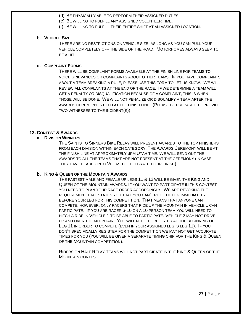- (d) BE PHYSICALLY ABLE TO PERFORM THEIR ASSIGNED DUTIES.
- (e) BE WILLING TO FULFILL ANY ASSIGNED VOLUNTEER TIME.
- (f) BE WILLING TO FULFILL THEIR ENTIRE SHIFT AT AN ASSIGNED LOCATION.

#### **b. VEHICLE SIZE**

THERE ARE NO RESTRICTIONS ON VEHICLE SIZE, AS LONG AS YOU CAN PULL YOUR VEHICLE COMPLETELY OFF THE SIDE OF THE ROAD. MOTORHOMES ALWAYS SEEM TO BE A HIT!

#### **c. COMPLAINT FORMS**

THERE WILL BE COMPLAINT FORMS AVAILABLE AT THE FINISH LINE FOR TEAMS TO VOICE GRIEVANCES OR COMPLAINTS ABOUT OTHER TEAMS. IF YOU HAVE COMPLAINTS ABOUT A TEAM BREAKING A RULE, PLEASE USE THIS FORM TO LET US KNOW. WE WILL REVIEW ALL COMPLAINTS AT THE END OF THE RACE. IF WE DETERMINE A TEAM WILL GET A PENALTY OR DISQUALIFICATION BECAUSE OF A COMPLAINT, THIS IS WHEN THOSE WILL BE DONE. WE WILL NOT PENALIZE OR DISQUALIFY A TEAM AFTER THE AWARDS CEREMONY IS HELD AT THE FINISH LINE. (PLEASE BE PREPARED TO PROVIDE TWO WITNESSES TO THE INCIDENT(S)).

#### **12. CONTEST & AWARDS**

#### **a. DIVISION WINNERS**

THE SAINTS TO SINNERS BIKE RELAY WILL PRESENT AWARDS TO THE TOP FINISHERS FROM EACH DIVISION WITHIN EACH CATEGORY. THE AWARDS CEREMONY WILL BE AT THE FINISH LINE AT APPROXIMATELY 3PM UTAH TIME. WE WILL SEND OUT THE AWARDS TO ALL THE TEAMS THAT ARE NOT PRESENT AT THE CEREMONY (IN CASE THEY HAVE HEADED INTO VEGAS TO CELEBRATE THEIR FINISH).

#### **b. KING & QUEEN OF THE MOUNTAIN AWARDS**

THE FASTEST MALE AND FEMALE UP LEGS 11 & 12 WILL BE GIVEN THE KING AND QUEEN OF THE MOUNTAIN AWARDS. IF YOU WANT TO PARTICIPATE IN THIS CONTEST YOU NEED TO PLAN YOUR RACE ORDER ACCORDINGLY. WE ARE REVOKING THE REQUIREMENT THAT STATES YOU THAT YOU CAN'T RIDE THE LEG IMMEDIATELY BEFORE YOUR LEG FOR THIS COMPETITION. THAT MEANS THAT ANYONE CAN COMPETE, HOWEVER, ONLY RACERS THAT RIDE UP THE MOUNTAIN IN VEHICLE 1 CAN PARTICIPATE. IF YOU ARE RACER 6-10 ON A 10 PERSON TEAM YOU WILL NEED TO HITCH A RIDE IN VEHICLE 1 TO BE ABLE TO PARTICIPATE. VEHICLE 2 MAY NOT DRIVE UP AND OVER THE MOUNTAIN. YOU WILL NEED TO REGISTER AT THE BEGINNING OF LEG 11 IN ORDER TO COMPETE (EVEN IF YOUR ASSIGNED LEG IS LEG 11). IF YOU DON'T SPECIFICALLY REGISTER FOR THE COMPETITION WE MAY NOT GET ACCURATE TIMES FOR YOU (YOU WILL BE GIVEN A SEPARATE TIMING CHIP FOR THE KING & QUEEN OF THE MOUNTAIN COMPETITION).

RIDERS ON HALF RELAY TEAMS WILL NOT PARTICIPATE IN THE KING & QUEEN OF THE MOUNTAIN CONTEST.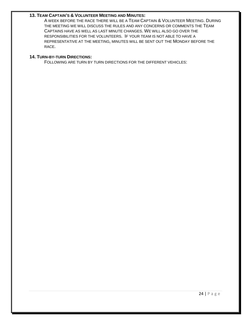#### **13. TEAM CAPTAIN'S & VOLUNTEER MEETING AND MINUTES:**

A WEEK BEFORE THE RACE THERE WILL BE A TEAM CAPTAIN & VOLUNTEER MEETING. DURING THE MEETING WE WILL DISCUSS THE RULES AND ANY CONCERNS OR COMMENTS THE TEAM CAPTAINS HAVE AS WELL AS LAST MINUTE CHANGES. WE WILL ALSO GO OVER THE RESPONSIBILITIES FOR THE VOLUNTEERS. IF YOUR TEAM IS NOT ABLE TO HAVE A REPRESENTATIVE AT THE MEETING, MINUTES WILL BE SENT OUT THE MONDAY BEFORE THE RACE.

#### **14. TURN-BY-TURN DIRECTIONS:**

FOLLOWING ARE TURN BY TURN DIRECTIONS FOR THE DIFFERENT VEHICLES: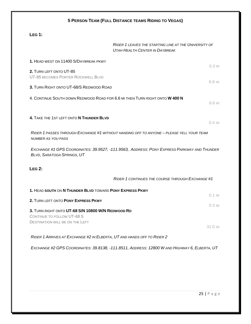| LEG 1:                                                                                                                                  |                                                                                                |                                 |
|-----------------------------------------------------------------------------------------------------------------------------------------|------------------------------------------------------------------------------------------------|---------------------------------|
|                                                                                                                                         | RIDER 1 LEAVES THE STARTING LINE AT THE UNIVERSITY OF<br><b>UTAH HEALTH CENTER IN DAYBREAK</b> |                                 |
| 1. HEAD WEST ON 11400 S/DAYBREAK PKWY                                                                                                   |                                                                                                | $0.3$ MI                        |
| 2. TURN LEFT ONTO UT-85<br>UT-85 BECOMES PORTER ROCKWELL BLVD                                                                           |                                                                                                | 6.8 MI                          |
| 3. TURN RIGHT ONTO UT-68/S REDWOOD ROAD                                                                                                 |                                                                                                |                                 |
|                                                                                                                                         | 4. CONTINUE SOUTH DOWN REDWOOD ROAD FOR 6.6 MI THEN TURN RIGHT ONTO W 400 N                    | 6.6 MI                          |
| 4. TAKE THE 1ST LEFT ONTO N THUNDER BLVD                                                                                                |                                                                                                | $0.4$ MI                        |
| <b>NUMBER AS YOU PASS</b>                                                                                                               | RIDER 1 PASSES THROUGH EXCHANGE #1 WITHOUT HANDING OFF TO ANYONE - PLEASE YELL YOUR TEAM       |                                 |
| <b>BLVD, SARATOGA SPRINGS, UT</b>                                                                                                       | EXCHANGE #1 GPS COORDINATES: 39.9527, -111.9563, ADDRESS: PONY EXPRESS PARKWAY AND THUNDER     |                                 |
|                                                                                                                                         |                                                                                                |                                 |
|                                                                                                                                         |                                                                                                |                                 |
|                                                                                                                                         | <b>RIDER 1 CONTINUES THE COURSE THROUGH EXCHANGE #1</b>                                        |                                 |
|                                                                                                                                         |                                                                                                |                                 |
| 1. HEAD SOUTH ON N THUNDER BLVD TOWARD PONY EXPRESS PKWY                                                                                |                                                                                                |                                 |
| <b>LEG 2:</b><br>2. TURN LEFT ONTO PONY EXPRESS PKWY<br>3. TURN RIGHT ONTO UT-68 S/N 10800 W/N REDWOOD RD<br>CONTINUE TO FOLLOW UT-68 S |                                                                                                |                                 |
| <b>DESTINATION WILL BE ON THE LEFT</b>                                                                                                  |                                                                                                | $0.1$ MI<br>$0.3$ MI<br>31.0 MI |
|                                                                                                                                         | RIDER 1 ARRIVES AT EXCHANGE #2 IN ELBERTA, UT AND HANDS OFF TO RIDER 2                         |                                 |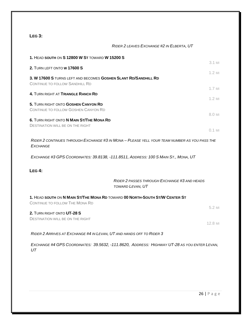#### **LEG 3:**

#### *RIDER 2 LEAVES EXCHANGE #2 IN ELBERTA, UT*

| 1. HEAD SOUTH ON S 12800 W ST TOWARD W 15200 S                                                                       | $3.1$ MI                                                         |
|----------------------------------------------------------------------------------------------------------------------|------------------------------------------------------------------|
| 2. TURN LEFT ONTO W 17600 S                                                                                          |                                                                  |
| 3. W 17600 S TURNS LEFT AND BECOMES GOSHEN SLANT RD/SANDHILL RD<br><b>CONTINUE TO FOLLOW SANDHILL RD</b>             | $1.2$ MI                                                         |
| 4. TURN RIGHT AT TRIANGLE RANCH RD                                                                                   | $1.7$ MI                                                         |
| 5. TURN RIGHT ONTO GOSHEN CANYON RD<br><b>CONTINUE TO FOLLOW GOSHEN CANYON RD</b>                                    | $1.2$ MI<br>8.0 MI                                               |
| 6. TURN RIGHT ONTO N MAIN ST/THE MONA RD<br><b>DESTINATION WILL BE ON THE RIGHT</b>                                  | $0.1$ MI                                                         |
| RIDER 2 CONTINUES THROUGH EXCHANGE #3 IN MONA - PLEASE YELL YOUR TEAM NUMBER AS YOU PASS THE<br><b>EXCHANGE</b>      |                                                                  |
| EXCHANGE #3 GPS COORDINATES: 39.8138, -111.8511, ADDRESS: 100 S MAIN ST., MONA, UT                                   |                                                                  |
| LEG 4:                                                                                                               |                                                                  |
|                                                                                                                      | RIDER 2 PASSES THROUGH EXCHANGE #3 AND HEADS<br>TOWARD LEVAN, UT |
| 1. HEAD SOUTH ON N MAIN ST/THE MONA RD TOWARD 00 NORTH-SOUTH ST/W CENTER ST<br><b>CONTINUE TO FOLLOW THE MONA RD</b> |                                                                  |
| 2. TURN RIGHT ONTO UT-28 S<br><b>DESTINATION WILL BE ON THE RIGHT</b>                                                | 5.2 MI                                                           |
|                                                                                                                      | $12.8$ MI                                                        |
| RIDER 2 ARRIVES AT EXCHANGE #4 IN LEVAN, UT AND HANDS OFF TO RIDER 3                                                 |                                                                  |

*EXCHANGE #4 GPS COORDINATES: 39.5632, -111.8620, ADDRESS: HIGHWAY UT-28 AS YOU ENTER LEVAN, UT*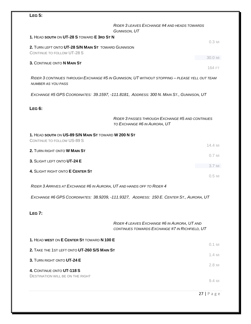## **LEG 5:**

|                                                                                   | RIDER 3 LEAVES EXCHANGE #4 AND HEADS TOWARDS<br>GUNNISON, UT                                   |          |
|-----------------------------------------------------------------------------------|------------------------------------------------------------------------------------------------|----------|
| 1. HEAD SOUTH ON UT-28 S TOWARD E 3RD ST N                                        |                                                                                                |          |
| 2. TURN LEFT ONTO UT-28 S/N MAIN ST TOWARD GUNNISON<br>CONTINUE TO FOLLOW UT-28 S |                                                                                                | $0.3$ MI |
|                                                                                   |                                                                                                | 30.0 MI  |
| 3. CONTINUE ONTO N MAIN ST                                                        |                                                                                                | 164 FT   |
| <b>NUMBER AS YOU PASS</b>                                                         | RIDER 3 CONTINUES THROUGH EXCHANGE #5 IN GUNNISON, UT WITHOUT STOPPING - PLEASE YELL OUT TEAM  |          |
|                                                                                   | EXCHANGE #5 GPS COORDINATES: 39.1597, -111.8181, ADDRESS: 300 N. MAIN ST., GUNNISON, UT        |          |
| <b>LEG 6:</b>                                                                     |                                                                                                |          |
|                                                                                   | RIDER 3 PASSES THROUGH EXCHANGE #5 AND CONTINUES<br>TO EXCHANGE #6 IN AURORA, UT               |          |
| 1. HEAD SOUTH ON US-89 S/N MAIN ST TOWARD W 200 N ST                              |                                                                                                |          |
| CONTINUE TO FOLLOW US-89 S                                                        |                                                                                                |          |
| 2. TURN RIGHT ONTO W MAIN ST                                                      |                                                                                                | 14.4 M   |
| 3. SLIGHT LEFT ONTO UT-24 E                                                       |                                                                                                | $0.7$ MI |
| 4. SLIGHT RIGHT ONTO E CENTER ST                                                  |                                                                                                | $3.7$ MI |
|                                                                                   |                                                                                                | $0.5$ MI |
| RIDER 3 ARRIVES AT EXCHANGE #6 IN AURORA, UT AND HANDS OFF TO RIDER 4             |                                                                                                |          |
|                                                                                   | EXCHANGE #6 GPS COORDINATES: 38.9209, -111.9327, ADDRESS: 150 E. CENTER ST., AURORA, UT        |          |
| <b>LEG 7:</b>                                                                     |                                                                                                |          |
|                                                                                   | RIDER 4 LEAVES EXCHANGE #6 IN AURORA, UT AND<br>CONTINUES TOWARDS EXCHANGE #7 IN RICHFIELD, UT |          |
| 1. HEAD WEST ON E CENTER ST TOWARD N 100 E                                        |                                                                                                |          |
| 2. TAKE THE 1ST LEFT ONTO UT-260 S/S MAIN ST                                      |                                                                                                | $0.1$ MI |
|                                                                                   |                                                                                                | 1.4 MI   |
| 3. TURN RIGHT ONTO UT-24 E                                                        |                                                                                                |          |

**4.** CONTINUE ONTO **UT-118 S** DESTINATION WILL BE ON THE RIGHT

9.4 MI

2.8 MI

27 | Page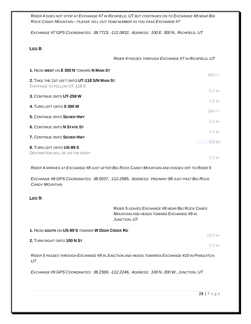*RIDER 4 DOES NOT STOP AT EXCHANGE #7 IN RICHFIELD, UT BUT CONTINUES ON TO EXCHANGE #8 NEAR BIG ROCK CANDY MOUNTAIN – PLEASE YELL OUT TEAM NUMBER AS YOU PASS EXCHANGE #7*

*EXCHANGE #7 GPS COORDINATES: 38.7723, -112.0832, ADDRESS: 100 E. 300 N., RICHFIELD, UT*

#### **LEG 8:**

*RIDER 4 PASSES THROUGH EXCHANGE #7 IN RICHFIELD, UT*

| 1. HEAD WEST ON E 300 N TOWARD N MAIN ST                                    | 459 FT                  |
|-----------------------------------------------------------------------------|-------------------------|
| 2. TAKE THE 1ST LEFT ONTO UT-118 S/N MAIN ST<br>CONTINUE TO FOLLOW UT-118 S |                         |
| 3. CONTINUE ONTO UT-258 W                                                   | 6.2 MI                  |
|                                                                             | $1.8$ MI                |
| 4. TURN LEFT ONTO S 300 W                                                   |                         |
| 5. CONTINUE ONTO SEVIER HWY                                                 | 384 FT                  |
| <b>6. CONTINUE ONTO N STATE ST</b>                                          | 5.3 MI                  |
|                                                                             | 1.0 <sub>Ml</sub>       |
| 7. CONTINUE ONTO SEVIER HWY                                                 |                         |
|                                                                             | $3.0 \text{ } \text{M}$ |
| 8. TURN LEFT ONTO US-89 S<br>DESTINATION WILL BE ON THE RIGHT               |                         |
|                                                                             |                         |

7.5 MI

*RIDER 4 ARRIVES AT EXCHANGE #8 JUST AFTER BIG ROCK CANDY MOUNTAIN AND PASSES OFF TO RIDER 5*

*EXCHANGE #8 GPS COORDINATES: 38.5037, -112.2585, ADDRESS: HIGHWAY 89 JUST PAST BIG ROCK CANDY MOUNTAIN*

#### **LEG 9:**

RIDER 5 LEAVES EXCHANGE #8 NEAR BIG ROCK CANDY MOUNTAIN AND HEADS TOWARD EXCHANGE #9 IN JUNCTION, UT

| 1. HEAD SOUTH ON US-89 S TOWARD W DEER CREEK RD |         |
|-------------------------------------------------|---------|
|                                                 | 19.0 mi |
| 2. TURN RIGHT ONTO 100 N ST                     |         |

0.2 MI

*RIDER 5 PASSES THROUGH EXCHANGE #9 IN JUNCTION AND HEADS TOWARDS EXCHANGE #10 IN PANGUITCH, UT*

*EXCHANGE #9 GPS COORDINATES: 38.2369, -112.2246, ADDRESS: 100 N. 200 W., JUNCTION, UT*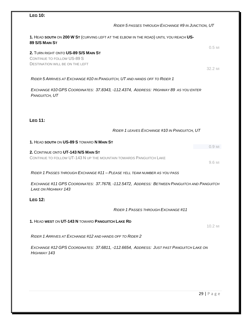## **LEG 10:**

**1.** HEAD **SOUTH** ON **200 W ST** (CURVING LEFT AT THE ELBOW IN THE ROAD) UNTIL YOU REACH **US-89 S/S MAIN ST**

**2.** TURN RIGHT ONTO **US-89 S/S MAIN ST** CONTINUE TO FOLLOW US-89 S DESTINATION WILL BE ON THE LEFT

32.2 MI

0.5 MI

#### *RIDER 5 ARRIVES AT EXCHANGE #10 IN PANGUITCH, UT AND HANDS OFF TO RIDER 1*

*EXCHANGE #10 GPS COORDINATES: 37.8343, -112.4374, ADDRESS: HIGHWAY 89 AS YOU ENTER PANGUITCH, UT*

**LEG 11:**

#### *RIDER 1 LEAVES EXCHANGE #10 IN PANGUITCH, UT*

*RIDER 5 PASSES THROUGH EXCHANGE #9 IN JUNCTION, UT*

**1.** HEAD **SOUTH** ON **US-89 S** TOWARD **N MAIN ST** 0.9 MI **2.** CONTINUE ONTO **UT-143 N/S MAIN ST** CONTINUE TO FOLLOW UT-143 N UP THE MOUNTAIN TOWARDS PANGUITCH LAKE 9.6 MI

*RIDER 1 PASSES THROUGH EXCHANGE #11 – PLEASE YELL TEAM NUMBER AS YOU PASS*

*EXCHANGE #11 GPS COORDINATES: 37.7678, -112.5472, ADDRESS: BETWEEN PANGUITCH AND PANGUITCH LAKE ON HIGHWAY 143*

**LEG 12:**

#### *RIDER 1 PASSES THROUGH EXCHANGE #11*

#### **1.** HEAD **WEST** ON **UT-143 N** TOWARD **PANGUITCH LAKE RD**

*RIDER 1 ARRIVES AT EXCHANGE #12 AND HANDS OFF TO RIDER 2*

*EXCHANGE #12 GPS COORDINATES: 37.6811, -112.6654, ADDRESS: JUST PAST PANGUITCH LAKE ON HIGHWAY 143*

10.2 MI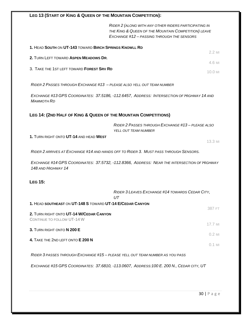#### **LEG 13 (START OF KING & QUEEN OF THE MOUNTAIN COMPETITION):**

*RIDER 2 (ALONG WITH ANY OTHER RIDERS PARTICIPATING IN THE KING & QUEEN OF THE MOUNTAIN COMPETITION) LEAVE EXCHANGE #12 – PASSING THROUGH THE SENSORS*

| 1. HEAD SOUTH ON UT-143 TOWARD BIRCH SPRINGS KNOWLL RD |                     |
|--------------------------------------------------------|---------------------|
| 2. TURN LEFT TOWARD ASPEN MEADOWS DR.                  | 22 MI               |
| 3. TAKE THE 1ST LEFT TOWARD FOREST SRV RD              | 4.6 MI              |
|                                                        | $10.0 \,\mathrm{M}$ |

*RIDER 2 PASSES THROUGH EXCHANGE #13 – PLEASE ALSO YELL OUT TEAM NUMBER*

*EXCHANGE #13 GPS COORDINATES: 37.5186, -112.6457, ADDRESS: INTERSECTION OF HIGHWAY 14 AND MAMMOTH RD*

#### **LEG 14: (2ND HALF OF KING & QUEEN OF THE MOUNTAIN COMPETITIONS)**

*RIDER 2 PASSES THROUGH EXCHANGE #13 – PLEASE ALSO YELL OUT TEAM NUMBER*

**1.** TURN RIGHT ONTO **UT-14** AND HEAD **WEST**

13.3 MI

*RIDER 2 ARRIVES AT EXCHANGE #14 AND HANDS OFF TO RIDER 3. MUST PASS THROUGH SENSORS.*

*EXCHANGE #14 GPS COORDINATES: 37.5732, -112.8366, ADDRESS: NEAR THE INTERSECTION OF HIGHWAY 148 AND HIGHWAY 14* 

#### **LEG 15:**

|                                                                                                        | RIDER 3 LEAVES EXCHANGE #14 TOWARDS CEDAR CITY,<br>UТ |           |
|--------------------------------------------------------------------------------------------------------|-------------------------------------------------------|-----------|
| 1. HEAD SOUTHEAST ON UT-148 S TOWARD UT-14 E/CEDAR CANYON                                              |                                                       |           |
| 2. TURN RIGHT ONTO UT-14 W/CEDAR CANYON<br>CONTINUE TO FOLLOW UT-14 W                                  |                                                       | 387 FT    |
| 3. TURN RIGHT ONTO N 200 E                                                                             |                                                       | $17.7$ MI |
|                                                                                                        |                                                       | $0.2$ MI  |
| 4. TAKE THE 2ND LEFT ONTO E 200 N                                                                      |                                                       | $0.1$ MI  |
| <u> Die de Alexander die biskup Fisculture – 445 – die islamische produktionischer International (</u> |                                                       |           |

*RIDER 3 PASSES THROUGH EXCHANGE #15 – PLEASE YELL OUT TEAM NUMBER AS YOU PASS*

*EXCHANGE #15 GPS COORDINATES: 37.6810, -113.0607, ADDRESS:100 E. 200 N., CEDAR CITY, UT*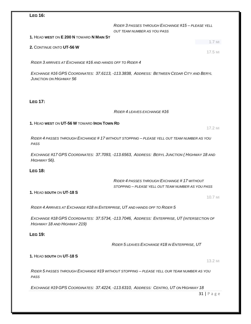#### **LEG 16:**

*RIDER 3 PASSES THROUGH EXCHANGE #15 – PLEASE YELL OUT TEAM NUMBER AS YOU PASS*

#### **1.** HEAD **WEST** ON **E 200 N** TOWARD **N MAIN ST**

#### **2.** CONTINUE ONTO **UT-56 W**

*RIDER 3 ARRIVES AT EXCHANGE #16 AND HANDS OFF TO RIDER 4*

*EXCHANGE #16 GPS COORDINATES: 37.6113, -113.3838, ADDRESS: BETWEEN CEDAR CITY AND BERYL JUNCTION ON HIGHWAY 56*

#### **LEG 17:**

#### *RIDER 4 LEAVES EXCHANGE #16*

#### **1.** HEAD **WEST** ON **UT-56 W** TOWARD **IRON TOWN RD**

17.2 MI

1.7 MI

17.5 MI

*RIDER 4 PASSES THROUGH EXCHANGE # 17 WITHOUT STOPPING – PLEASE YELL OUT TEAM NUMBER AS YOU PASS*

*EXCHANGE #17 GPS COORDINATES: 37.7093, -113.6563, ADDRESS: BERYL JUNCTION ( HIGHWAY 18 AND HIGHWAY 56).*

#### **LEG 18:**

#### *RIDER 4 PASSES THROUGH EXCHANGE # 17 WITHOUT STOPPING – PLEASE YELL OUT TEAM NUMBER AS YOU PASS*

#### **1.** HEAD **SOUTH** ON **UT-18 S**

10.7 MI

*RIDER 4 ARRIVES AT EXCHANGE #18 IN ENTERPRISE, UT AND HANDS OFF TO RIDER 5*

*EXCHANGE #18 GPS COORDINATES: 37.5734, -113.7046, ADDRESS: ENTERPRISE, UT (INTERSECTION OF HIGHWAY 18 AND HIGHWAY 219)*

#### **LEG 19:**

*RIDER 5 LEAVES EXCHANGE #18 IN ENTERPRISE, UT*

#### **1.** HEAD **SOUTH** ON **UT-18 S**

13.2 MI

*RIDER 5 PASSES THROUGH EXCHANGE #19 WITHOUT STOPPING – PLEASE YELL OUR TEAM NUMBER AS YOU PASS*

*EXCHANGE #19 GPS COORDINATES: 37.4224, -113.6310, ADDRESS: CENTRO, UT ON HIGHWAY 18*

 $31$  | Page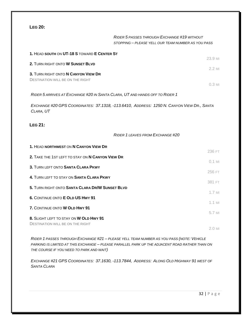#### **LEG 20:**

#### *RIDER 5 PASSES THROUGH EXCHANGE #19 WITHOUT STOPPING – PLEASE YELL OUR TEAM NUMBER AS YOU PASS*

| 1. HEAD SOUTH ON UT-18 S TOWARD E CENTER ST                                                            | 23.9 MI  |
|--------------------------------------------------------------------------------------------------------|----------|
| 2. TURN RIGHT ONTO W SUNSET BLVD                                                                       |          |
| 3. TURN RIGHT ONTO N CANYON VIEW DR                                                                    | $2.2$ MI |
| <b>DESTINATION WILL BE ON THE RIGHT</b>                                                                | $0.3$ MI |
| RIDER 5 ARRIVES AT EXCHANGE #20 IN SANTA CLARA, UT AND HANDS OFF TO RIDER 1                            |          |
| EXCHANGE #20 GPS COORDINATES: 37.1318, -113.6410, ADDRESS: 1250 N. CANYON VIEW DR., SANTA<br>CLARA, UT |          |
| <b>LEG 21:</b>                                                                                         |          |
| RIDER 1 LEAVES FROM EXCHANGE #20                                                                       |          |
| 1. HEAD NORTHWEST ON N CANYON VIEW DR                                                                  |          |
| 2. TAKE THE 1ST LEFT TO STAY ON N CANYON VIEW DR                                                       | 236 FT   |
| 3. TURN LEFT ONTO SANTA CLARA PKWY                                                                     | $0.1$ MI |
| 4. TURN LEFT TO STAY ON SANTA CLARA PKWY                                                               | 256 FT   |
| 5. TURN RIGHT ONTO SANTA CLARA DR/W SUNSET BLVD                                                        | 381 FT   |
| 6. CONTINUE ONTO E OLD US HWY 91                                                                       | $1.7$ MI |
|                                                                                                        | $1.1$ MI |
| 7. CONTINUE ONTO W OLD HWY 91                                                                          | 5.7 MI   |
| 8. SLIGHT LEFT TO STAY ON W OLD HWY 91<br><b>DESTINATION WILL BE ON THE RIGHT</b>                      |          |
|                                                                                                        | 2.0 MI   |

*RIDER 1 PASSES THROUGH EXCHANGE #21 – PLEASE YELL TEAM NUMBER AS YOU PASS (NOTE: VEHICLE PARKING IS LIMITED AT THIS EXCHANGE – PLEASE PARALLEL PARK UP THE ADJACENT ROAD RATHER THAN ON THE COURSE IF YOU NEED TO PARK AND WAIT)*

*EXCHANGE #21 GPS COORDINATES: 37.1630, -113.7844, ADDRESS: ALONG OLD HIGHWAY 91 WEST OF SANTA CLARA*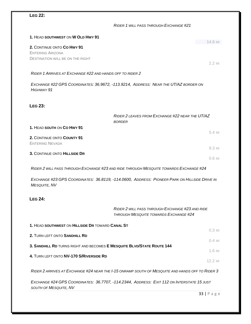| <b>LEG 22:</b>                                           |                                                                                                 |                      |
|----------------------------------------------------------|-------------------------------------------------------------------------------------------------|----------------------|
|                                                          | RIDER 1 WILL PASS THROUGH EXCHANGE #21                                                          |                      |
| 1. HEAD SOUTHWEST ON W OLD HWY 91                        |                                                                                                 | $14.6$ MI            |
| 2. CONTINUE ONTO CO HWY 91<br><b>ENTERING ARIZONA</b>    |                                                                                                 |                      |
| <b>DESTINATION WILL BE ON THE RIGHT</b>                  |                                                                                                 | $2.2$ MI             |
| RIDER 1 ARRIVES AT EXCHANGE #22 AND HANDS OFF TO RIDER 2 |                                                                                                 |                      |
| HIGHWAY 91                                               | EXCHANGE #22 GPS COORDINATES: 36.9672, -113.9214, ADDRESS: NEAR THE UT/AZ BORDER ON             |                      |
| <b>LEG 23:</b>                                           |                                                                                                 |                      |
|                                                          | RIDER 2 LEAVES FROM EXCHANGE #22 NEAR THE UT/AZ<br><b>BORDER</b>                                |                      |
| 1. HEAD SOUTH ON CO HWY 91                               |                                                                                                 | $5.4$ MI             |
| 2. CONTINUE ONTO COUNTY 91<br><b>ENTERING NEVADA</b>     |                                                                                                 |                      |
| 3. CONTINUE ONTO HILLSIDE DR                             |                                                                                                 | $9.3$ MI<br>$0.6$ MI |
|                                                          | RIDER 2 WILL PASS THROUGH EXCHANGE #23 AND RIDE THROUGH MESQUITE TOWARDS EXCHANGE #24           |                      |
| <b>MESQUITE, NV</b>                                      | EXCHANGE #23 GPS COORDINATES: 36.8119, -114.0600, ADDRESS: PIONEER PARK ON HILLSIDE DRIVE IN    |                      |
| <b>LEG 24:</b>                                           |                                                                                                 |                      |
|                                                          | RIDER 2 WILL PASS THROUGH EXCHANGE #23 AND RIDE<br><b>THROUGH MESQUITE TOWARDS EXCHANGE #24</b> |                      |
| 1. HEAD SOUTHWEST ON HILLSIDE DR TOWARD CANAL ST         |                                                                                                 | $0.3$ MI             |
| 2. TURN LEFT ONTO SANDHILL RD                            |                                                                                                 |                      |
|                                                          | 3. SANDHILL RD TURNS RIGHT AND BECOMES E MESQUITE BLVD/STATE ROUTE 144                          | $0.4$ MI             |
| 4. TURN LEFT ONTO NV-170 S/RIVERSIDE RD                  |                                                                                                 | $1.6$ MI             |
|                                                          |                                                                                                 | 12.2 MI              |
|                                                          | RIDER 2 ARRIVES AT EXCHANGE #24 NEAR THE I-15 ONRAMP SOUTH OF MESQUITE AND HANDS OFF TO RIDER 3 |                      |
| SOUTH OF MESQUITE, NV                                    | EXCHANGE #24 GPS COORDINATES: 36.7707, -114.2344, ADDRESS: EXIT 112 ON INTERSTATE 15 JUST       |                      |
|                                                          |                                                                                                 | $33$   Page          |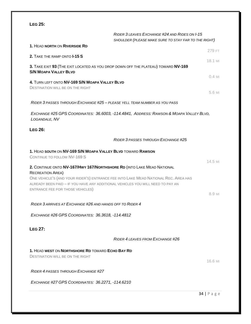**LEG 25:** *RIDER 3 LEAVES EXCHANGE #24 AND RIDES ON I-15 SHOULDER (PLEASE MAKE SURE TO STAY FAR TO THE RIGHT)* **1.** HEAD **NORTH** ON **RIVERSIDE RD** 279 FT **2.** TAKE THE RAMP ONTO **I-15 S** 18.1 MI **3.** TAKE EXIT **93** (THE EXIT LOCATED AS YOU DROP DOWN OFF THE PLATEAU) TOWARD **NV-169 S/N MOAPA VALLEY BLVD** 0.4 MI **4.** TURN LEFT ONTO **NV-169 S/N MOAPA VALLEY BLVD** DESTINATION WILL BE ON THE RIGHT 5.6 MI *RIDER 3 PASSES THROUGH EXCHANGE #25 – PLEASE YELL TEAM NUMBER AS YOU PASS EXCHANGE #25 GPS COORDINATES: 36.6003, -114.4841, ADDRESS: RAWSON & MOAPA VALLEY BLVD, LOGANDALE, NV* **LEG 26:** *RIDER 3 PASSES THROUGH EXCHANGE #25* **1.** HEAD **SOUTH** ON **NV-169 S/N MOAPA VALLEY BLVD** TOWARD **RAWSON** CONTINUE TO FOLLOW NV-169 S 14.5 MI **2.** CONTINUE ONTO **NV-167/HWY 167/NORTHSHORE RD** (INTO LAKE MEAD NATIONAL RECREATION AREA) ONE VEHICLE'S (AND YOUR RIDER'S) ENTRANCE FEE INTO LAKE MEAD NATIONAL REC. AREA HAS ALREADY BEEN PAID – IF YOU HAVE ANY ADDITIONAL VEHICLES YOU WILL NEED TO PAY AN ENTRANCE FEE FOR THOSE VEHICLES) 8.9 MI *RIDER 3 ARRIVES AT EXCHANGE #26 AND HANDS OFF TO RIDER 4 EXCHANGE #26 GPS COORDINATES: 36.3618, -114.4812* **LEG 27:** *RIDER 4 LEAVES FROM EXCHANGE #26* **1.** HEAD **WEST** ON **NORTHSHORE RD** TOWARD **ECHO BAY RD** DESTINATION WILL BE ON THE RIGHT 16.6 MI *RIDER 4 PASSES THROUGH EXCHANGE #27 EXCHANGE #27 GPS COORDINATES: 36.2271, -114.6210*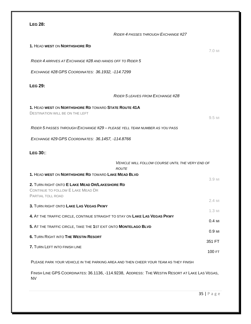| <b>LEG 28:</b>                                                                                              |          |
|-------------------------------------------------------------------------------------------------------------|----------|
| RIDER 4 PASSES THROUGH EXCHANGE #27                                                                         |          |
| 1. HEAD WEST ON NORTHSHORE RD                                                                               | 7.0 MI   |
| RIDER 4 ARRIVES AT EXCHANGE #28 AND HANDS OFF TO RIDER 5                                                    |          |
| EXCHANGE #28 GPS COORDINATES: 36.1932, -114.7299                                                            |          |
| <b>LEG 29:</b>                                                                                              |          |
| RIDER 5 LEAVES FROM EXCHANGE #28                                                                            |          |
| 1. HEAD WEST ON NORTHSHORE RD TOWARD STATE ROUTE 41A                                                        |          |
| <b>DESTINATION WILL BE ON THE LEFT</b>                                                                      | 9.5 MI   |
| RIDER 5 PASSES THROUGH EXCHANGE #29 - PLEASE YELL TEAM NUMBER AS YOU PASS.                                  |          |
| EXCHANGE #29 GPS COORDINATES: 36.1457, -114.8766                                                            |          |
| <b>LEG 30::</b>                                                                                             |          |
|                                                                                                             |          |
| <b>VEHICLE WILL FOLLOW COURSE UNTIL THE VERY END OF</b><br><b>ROUTE</b>                                     |          |
| 1. HEAD WEST ON NORTHSHORE RD TOWARD LAKE MEAD BLVD                                                         | 3.9 MI   |
| 2. TURN RIGHT ONTO E LAKE MEAD DR/LAKESHORE RD                                                              |          |
| CONTINUE TO FOLLOW E LAKE MEAD DR<br>PARTIAI TOI I ROAD                                                     |          |
| 3. TURN RIGHT ONTO LAKE LAS VEGAS PKWY                                                                      | 2.4 MI   |
|                                                                                                             | $1.3$ MI |
| 4. AT THE TRAFFIC CIRCLE, CONTINUE STRAIGHT TO STAY ON LAKE LAS VEGAS PKWY                                  | $0.4$ MI |
| 5. AT THE TRAFFIC CIRCLE, TAKE THE 1ST EXIT ONTO MONTELAGO BLVD                                             | 0.9 MI   |
| <b>6. TURN RIGHT INTO THE WESTIN RESORT</b>                                                                 | 351 FT   |
| 7. TURN LEFT INTO FINISH LINE                                                                               |          |
|                                                                                                             | 100 FT   |
| PLEASE PARK YOUR VEHICLE IN THE PARKING AREA AND THEN CHEER YOUR TEAM AS THEY FINISH                        |          |
| FINISH LINE GPS COORDINATES: 36.1136, -114.9238, ADDRESS: THE WESTIN RESORT AT LAKE LAS VEGAS,<br><b>NV</b> |          |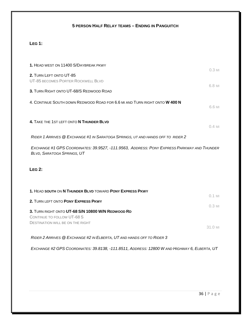## **5 PERSON HALF RELAY TEAMS – ENDING IN PANGUITCH**

## **LEG 1:**

| 1. HEAD WEST ON 11400 S/DAYBREAK PKWY<br>$0.3$ MI                                                                        |  |
|--------------------------------------------------------------------------------------------------------------------------|--|
| 2. TURN LEFT ONTO UT-85<br>UT-85 BECOMES PORTER ROCKWELL BLVD<br>6.8 MI                                                  |  |
| 3. TURN RIGHT ONTO UT-68/S REDWOOD ROAD                                                                                  |  |
| 4. CONTINUE SOUTH DOWN REDWOOD ROAD FOR 6.6 MI AND TURN RIGHT ONTO W 400 N<br>6.6 MI                                     |  |
| 4. TAKE THE 1ST LEFT ONTO N THUNDER BLVD<br>$0.4$ MI                                                                     |  |
| RIDER 1 ARRIVES @ EXCHANGE #1 IN SARATOGA SPRINGS, UT AND HANDS OFF TO RIDER 2                                           |  |
| EXCHANGE #1 GPS COORDINATES: 39.9527, -111.9563, ADDRESS: PONY EXPRESS PARKWAY AND THUNDER<br>BLVD, SARATOGA SPRINGS, UT |  |
| LEG <sub>2</sub> :                                                                                                       |  |
| 1. HEAD SOUTH ON N THUNDER BLVD TOWARD PONY EXPRESS PKWY                                                                 |  |
| $0.1$ MI<br>2. TURN LEFT ONTO PONY EXPRESS PKWY                                                                          |  |
| $0.3$ MI<br>3. TURN RIGHT ONTO UT-68 S/N 10800 W/N REDWOOD RD                                                            |  |
| CONTINUE TO FOLLOW UT-68 S                                                                                               |  |
| <b>DESTINATION WILL BE ON THE RIGHT</b><br>31.0 MI                                                                       |  |
| RIDER 2 ARRIVES @ EXCHANGE #2 IN ELBERTA, UT AND HANDS OFF TO RIDER 3                                                    |  |
| EXCHANGE #2 GPS COORDINATES: 39.8138, -111.8511, ADDRESS: 12800 W AND HIGHWAY 6, ELBERTA, UT                             |  |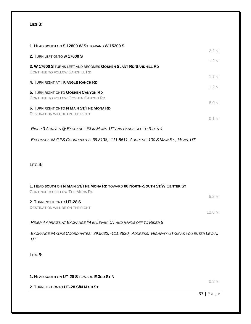#### **LEG 3:**

| 1. HEAD SOUTH ON <b>S 12800 W ST</b> TOWARD <b>W 15200 S</b>                                                  | 3.1 MI               |
|---------------------------------------------------------------------------------------------------------------|----------------------|
| 2. TURN LEFT ONTO W 17600 S                                                                                   |                      |
| 3. W 17600 S TURNS LEFT AND BECOMES GOSHEN SLANT RD/SANDHILL RD<br><b>CONTINUE TO FOLLOW SANDHILL RD</b>      | $1.2$ MI             |
| 4. TURN RIGHT AT TRIANGLE RANCH RD                                                                            | $1.7$ MI<br>$1.2$ MI |
| 5. TURN RIGHT ONTO GOSHEN CANYON RD<br>CONTINUE TO FOLLOW GOSHEN CANYON RD                                    |                      |
| 6. TURN RIGHT ONTO N MAIN ST/THE MONA RD<br><b>DESTINATION WILL BE ON THE RIGHT</b>                           | 8.0 MI               |
|                                                                                                               | $0.1$ MI             |
| RIDER 3 ARRIVES @ EXCHANGE #3 IN MONA, UT AND HANDS OFF TO RIDER 4                                            |                      |
| EXCHANGE #3 GPS COORDINATES: 39.8138, -111.8511, ADDRESS: 100 S MAIN ST., MONA, UT                            |                      |
| LEG 4:                                                                                                        |                      |
| 1. HEAD SOUTH ON N MAIN ST/THE MONA RD TOWARD 00 NORTH-SOUTH ST/W CENTER ST<br>CONTINUE TO FOLLOW THE MONA RD |                      |
| 2. TURN RIGHT ONTO UT-28 S<br><b>DESTINATION WILL BE ON THE RIGHT</b>                                         | 5.2 MI<br>12.8 MI    |
| RIDER 4 ARRIVES AT EXCHANGE #4 IN LEVAN, UT AND HANDS OFF TO RIDER 5                                          |                      |
| EXCHANGE #4 GPS COORDINATES: 39.5632, -111.8620, ADDRESS: HIGHWAY UT-28 AS YOU ENTER LEVAN,<br>UT             |                      |
| <b>LEG 5:</b>                                                                                                 |                      |

**1.** HEAD **SOUTH** ON **UT-28 S** TOWARD **E 3RD ST N**

**2.** TURN LEFT ONTO **UT-28 S/N MAIN ST**

0.3 MI

37 | Page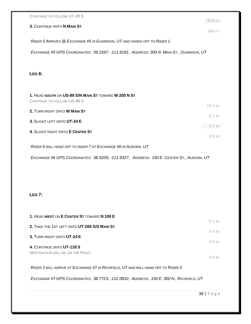| RIDER 5 ARRIVES @ EXCHANGE #5 IN GUNNISON, UT AND HANDS OFF TO RIDER 1<br>EXCHANGE #5 GPS COORDINATES: 39.1597, -111.8181, ADDRESS: 300 N. MAIN ST., GUNNISON, UT<br>2. TURN RIGHT ONTO W MAIN ST<br>3. SLIGHT LEFT ONTO UT-24 E<br>4. SLIGHT RIGHT ONTO E CENTER ST<br>EXCHANGE #6 GPS COORDINATES: 38.9209, -111.9327, ADDRESS: 150 E. CENTER ST., AURORA, UT<br>RIDER 2 WILL ARRIVE AT EXCHANGE #7 IN RICHFIELD, UT AND WILL HAND OFF TO RIDER 3<br>EXCHANGE #7 GPS COORDINATES: 38.7723, -112.0832, ADDRESS: 100 E. 300 N., RICHFIELD, UT | CONTINUE TO FOLLOW UT-28 S                                                         | 30.0 MI  |
|-----------------------------------------------------------------------------------------------------------------------------------------------------------------------------------------------------------------------------------------------------------------------------------------------------------------------------------------------------------------------------------------------------------------------------------------------------------------------------------------------------------------------------------------------|------------------------------------------------------------------------------------|----------|
|                                                                                                                                                                                                                                                                                                                                                                                                                                                                                                                                               | 3. CONTINUE ONTO N MAIN ST                                                         | 164 FT   |
|                                                                                                                                                                                                                                                                                                                                                                                                                                                                                                                                               |                                                                                    |          |
|                                                                                                                                                                                                                                                                                                                                                                                                                                                                                                                                               |                                                                                    |          |
|                                                                                                                                                                                                                                                                                                                                                                                                                                                                                                                                               |                                                                                    |          |
|                                                                                                                                                                                                                                                                                                                                                                                                                                                                                                                                               | <b>LEG 6:</b>                                                                      |          |
|                                                                                                                                                                                                                                                                                                                                                                                                                                                                                                                                               |                                                                                    |          |
|                                                                                                                                                                                                                                                                                                                                                                                                                                                                                                                                               | 1. HEAD SOUTH ON US-89 S/N MAIN ST TOWARD W 200 N ST<br>CONTINUE TO FOLLOW US-89 S |          |
|                                                                                                                                                                                                                                                                                                                                                                                                                                                                                                                                               |                                                                                    | 14.4 MI  |
|                                                                                                                                                                                                                                                                                                                                                                                                                                                                                                                                               |                                                                                    | $0.7$ MI |
|                                                                                                                                                                                                                                                                                                                                                                                                                                                                                                                                               |                                                                                    | 3.7 MI   |
|                                                                                                                                                                                                                                                                                                                                                                                                                                                                                                                                               |                                                                                    | $0.5$ MI |
|                                                                                                                                                                                                                                                                                                                                                                                                                                                                                                                                               | RIDER 6 WILL HAND OFF TO RIDER 7 AT EXCHANGE #6 IN AURORA, UT                      |          |
|                                                                                                                                                                                                                                                                                                                                                                                                                                                                                                                                               |                                                                                    |          |
|                                                                                                                                                                                                                                                                                                                                                                                                                                                                                                                                               |                                                                                    |          |
|                                                                                                                                                                                                                                                                                                                                                                                                                                                                                                                                               |                                                                                    |          |
|                                                                                                                                                                                                                                                                                                                                                                                                                                                                                                                                               |                                                                                    |          |
|                                                                                                                                                                                                                                                                                                                                                                                                                                                                                                                                               | <b>LEG 7:</b>                                                                      |          |
|                                                                                                                                                                                                                                                                                                                                                                                                                                                                                                                                               |                                                                                    |          |
|                                                                                                                                                                                                                                                                                                                                                                                                                                                                                                                                               | 1. HEAD WEST ON E CENTER ST TOWARD N 100 E                                         |          |
|                                                                                                                                                                                                                                                                                                                                                                                                                                                                                                                                               | 2. TAKE THE 1ST LEFT ONTO UT-260 S/S MAIN ST                                       | $0.1$ MI |
|                                                                                                                                                                                                                                                                                                                                                                                                                                                                                                                                               | 3. TURN RIGHT ONTO UT-24 E                                                         | $1.4$ MI |
|                                                                                                                                                                                                                                                                                                                                                                                                                                                                                                                                               | 4. CONTINUE ONTO UT-118 S                                                          | 2.8 MI   |
|                                                                                                                                                                                                                                                                                                                                                                                                                                                                                                                                               | <b>DESTINATION WILL BE ON THE RIGHT</b>                                            | 9.4 MI   |
|                                                                                                                                                                                                                                                                                                                                                                                                                                                                                                                                               |                                                                                    |          |
|                                                                                                                                                                                                                                                                                                                                                                                                                                                                                                                                               |                                                                                    |          |
|                                                                                                                                                                                                                                                                                                                                                                                                                                                                                                                                               |                                                                                    |          |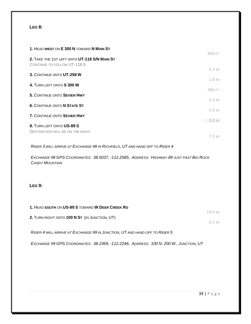#### **LEG 8:**

| 1. HEAD WEST ON E 300 N TOWARD N MAIN ST                                    | 459 FT           |
|-----------------------------------------------------------------------------|------------------|
| 2. TAKE THE 1ST LEFT ONTO UT-118 S/N MAIN ST<br>CONTINUE TO FOLLOW UT-118 S |                  |
| 3. CONTINUE ONTO UT-258 W                                                   | 6.2 MI           |
| 4. TURN LEFT ONTO S 300 W                                                   | 1.8 MI<br>384 FT |
| <b>5. CONTINUE ONTO SEVIER HWY</b>                                          | 5.3 MI           |
| <b>6. CONTINUE ONTO N STATE ST</b>                                          | $1.0$ MI         |
| 7. CONTINUE ONTO SEVIER HWY                                                 | 3.0 MI           |
| 8. TURN LEFT ONTO US-89 S<br><b>DESTINATION WILL BE ON THE RIGHT</b>        |                  |
|                                                                             | 7.5 MI           |

*RIDER 3 WILL ARRIVE AT EXCHANGE #8 IN RICHFIELD, UT AND HAND OFF TO RIDER 4*

*EXCHANGE #8 GPS COORDINATES: 38.5037, -112.2585, ADDRESS: HIGHWAY 89 JUST PAST BIG ROCK CANDY MOUNTAIN*

#### **LEG 9:**

| 1. HEAD SOUTH ON US-89 S TOWARD W DEER CREEK RD                            |          |
|----------------------------------------------------------------------------|----------|
|                                                                            | 19.0 MI  |
| 2. TURN RIGHT ONTO 100 N ST (IN JUNCTION, UT)                              | $0.2$ MI |
|                                                                            |          |
| RIDER 4 WILL ARRIVE AT EXCHANGE #9 IN JUNCTION, UT AND HAND OFF TO RIDER 5 |          |

*EXCHANGE #9 GPS COORDINATES: 38.2369, -112.2246, ADDRESS: 100 N. 200 W., JUNCTION, UT*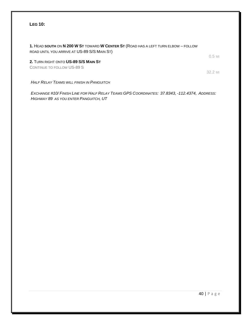**1.** HEAD **SOUTH** ON **N 200 W ST** TOWARD **W CENTER ST** (ROAD HAS A LEFT TURN ELBOW – FOLLOW ROAD UNTIL YOU ARRIVE AT US-89 S/S MAIN ST)

**2.** TURN RIGHT ONTO **US-89 S/S MAIN ST**

CONTINUE TO FOLLOW US-89 S

*HALF RELAY TEAMS WILL FINISH IN PANGUITCH*

*EXCHANGE #10/ FINISH LINE FOR HALF RELAY TEAMS GPS COORDINATES: 37.8343, -112.4374, ADDRESS: HIGHWAY 89 AS YOU ENTER PANGUITCH, UT*

0.5 MI

32.2 MI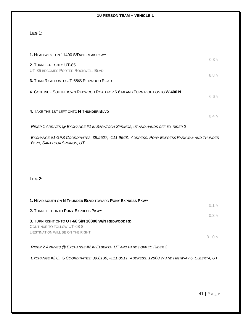#### **10 PERSON TEAM – VEHICLE 1**

## **LEG 1:**

| 1. HEAD WEST ON 11400 S/DAYBREAK PKWY                                                                                           |          |
|---------------------------------------------------------------------------------------------------------------------------------|----------|
| 2. TURN LEFT ONTO UT-85                                                                                                         | $0.3$ MI |
| UT-85 BECOMES PORTER ROCKWELL BLVD                                                                                              | 6.8 MI   |
| 3. TURN RIGHT ONTO UT-68/S REDWOOD ROAD                                                                                         |          |
| 4. CONTINUE SOUTH DOWN REDWOOD ROAD FOR 6.6 MI AND TURN RIGHT ONTO W 400 N                                                      | 6.6 MI   |
| 4. TAKE THE 1ST LEFT ONTO N THUNDER BLVD                                                                                        | $0.4$ MI |
| RIDER 1 ARRIVES @ EXCHANGE #1 IN SARATOGA SPRINGS, UT AND HANDS OFF TO RIDER 2                                                  |          |
| EXCHANGE #1 GPS COORDINATES: 39.9527, -111.9563, ADDRESS: PONY EXPRESS PARKWAY AND THUNDER<br><b>BLVD, SARATOGA SPRINGS, UT</b> |          |
|                                                                                                                                 |          |

#### **LEG 2:**

| 1. HEAD SOUTH ON N THUNDER BLVD TOWARD PONY EXPRESS PKWY |              |
|----------------------------------------------------------|--------------|
|                                                          | $0.1$ MI     |
| 2. TURN LEFT ONTO PONY EXPRESS PKWY                      |              |
|                                                          | 0.3 ML       |
| 3. TURN RIGHT ONTO UT-68 S/N 10800 W/N REDWOOD RD        |              |
| CONTINUE TO FOLLOW UT-68 S                               |              |
| <b>DESTINATION WILL BE ON THE RIGHT</b>                  |              |
|                                                          | 31 $\cap$ MI |

*RIDER 2 ARRIVES @ EXCHANGE #2 IN ELBERTA, UT AND HANDS OFF TO RIDER 3*

*EXCHANGE #2 GPS COORDINATES: 39.8138, -111.8511, ADDRESS: 12800 W AND HIGHWAY 6, ELBERTA, UT*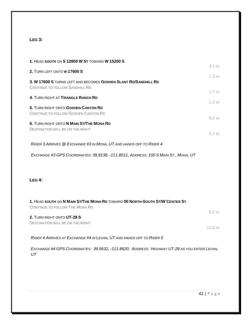## **LEG 3:**

| 1. HEAD SOUTH ON S 12800 W ST TOWARD W 15200 S                                                                | $3.1$ MI            |
|---------------------------------------------------------------------------------------------------------------|---------------------|
| 2. TURN LEFT ONTO W 17600 S                                                                                   |                     |
| 3. W 17600 S TURNS LEFT AND BECOMES GOSHEN SLANT RD/SANDHILL RD<br><b>CONTINUE TO FOLLOW SANDHILL RD</b>      | $1.2$ MI            |
| 4. TURN RIGHT AT TRIANGLE RANCH RD                                                                            | $1.7$ MI            |
| 5. TURN RIGHT ONTO GOSHEN CANYON RD<br>CONTINUE TO FOLLOW GOSHEN CANYON RD                                    | $1.2$ MI<br>8.0 MI  |
| 6. TURN RIGHT ONTO N MAIN ST/THE MONA RD<br><b>DESTINATION WILL BE ON THE RIGHT</b>                           | $0.1$ MI            |
| RIDER 3 ARRIVES @ EXCHANGE #3 IN MONA, UT AND HANDS OFF TO RIDER 4                                            |                     |
| EXCHANGE #3 GPS COORDINATES: 39.8138, -111.8511, ADDRESS: 100 S MAIN ST., MONA, UT                            |                     |
| LEG 4:                                                                                                        |                     |
| 1. HEAD SOUTH ON N MAIN ST/THE MONA RD TOWARD 00 NORTH-SOUTH ST/W CENTER ST<br>CONTINUE TO FOLLOW THE MONA RD |                     |
| 2. TURN RIGHT ONTO UT-28 S<br><b>DESTINATION WILL BE ON THE RIGHT</b>                                         | 5.2 MI<br>$12.8$ MI |
| RIDER 4 ARRIVES AT EXCHANGE #4 IN LEVAN, UT AND HANDS OFF TO RIDER 5                                          |                     |
| EXCHANGE #4 GPS COORDINATES: 39.5632, -111.8620, ADDRESS: HIGHWAY UT-28 AS YOU ENTER LEVAN,<br>UT             |                     |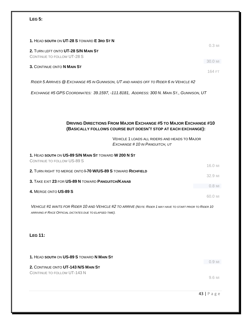## **LEG 5:**

| 1. HEAD SOUTH ON UT-28 S TOWARD E 3RD ST N                                                                                                                                                                                | $0.3$ MI |
|---------------------------------------------------------------------------------------------------------------------------------------------------------------------------------------------------------------------------|----------|
| 2. TURN LEFT ONTO UT-28 S/N MAIN ST<br>CONTINUE TO FOLLOW UT-28 S                                                                                                                                                         | 30.0 MI  |
| 3. CONTINUE ONTO N MAIN ST                                                                                                                                                                                                | 164 FT   |
| RIDER 5 ARRIVES @ EXCHANGE #5 IN GUNNISON, UT AND HANDS OFF TO RIDER 6 IN VEHICLE #2                                                                                                                                      |          |
| EXCHANGE #5 GPS COORDINATES: 39.1597, -111.8181, ADDRESS: 300 N. MAIN ST., GUNNISON, UT                                                                                                                                   |          |
| <b>DRIVING DIRECTIONS FROM MAJOR EXCHANGE #5 TO MAJOR EXCHANGE #10</b><br>(BASICALLY FOLLOWS COURSE BUT DOESN'T STOP AT EACH EXCHANGE):<br>VEHICLE 1 LOADS ALL RIDERS AND HEADS TO MAJOR<br>EXCHANGE #10 IN PANGUITCH, UT |          |
| 1. HEAD SOUTH ON US-89 S/N MAIN ST TOWARD W 200 N ST<br>CONTINUE TO FOLLOW US-89 S                                                                                                                                        |          |
| 2. TURN RIGHT TO MERGE ONTO <b>I-70 W/US-89 S</b> TOWARD RICHFIELD                                                                                                                                                        | 16.0 MI  |
| 3. TAKE EXIT 23 FOR US-89 N TOWARD PANGUITCH/KANAB                                                                                                                                                                        | 32.9 MI  |
| 4. MERGE ONTO US-89 S                                                                                                                                                                                                     | $0.8$ MI |
|                                                                                                                                                                                                                           | 60.0 MI  |
| VEHICLE #1 WAITS FOR RIDER 10 AND VEHICLE #2 TO ARRIVE (NOTE: RIDER 1 MAY HAVE TO START PRIOR TO RIDER 10<br>ARRIVING IF RACE OFFICIAL DICTATES DUE TO ELAPSED TIME).                                                     |          |

## **LEG 11:**

**1.** HEAD **SOUTH** ON **US-89 S** TOWARD **N MAIN ST** 0.9 MI **2.** CONTINUE ONTO **UT-143 N/S MAIN ST** CONTINUE TO FOLLOW UT-143 N 9.6 MI

43 | Page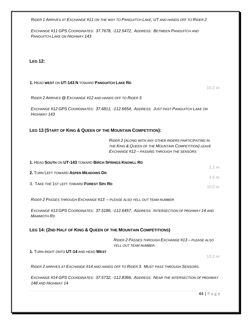*RIDER 1 ARRIVES AT EXCHANGE #11 ON THE WAY TO PANGUITCH LAKE, UT AND HANDS OFF TO RIDER 2*

*EXCHANGE #11 GPS COORDINATES: 37.7678, -112.5472, ADDRESS: BETWEEN PANGUITCH AND PANGUITCH LAKE ON HIGHWAY 143*

**LEG 12:**

#### **1.** HEAD **WEST** ON **UT-143 N** TOWARD **PANGUITCH LAKE RD**

10.2 MI

*RIDER 2 ARRIVES @ EXCHANGE #12 AND HANDS OFF TO RIDER 3*

*EXCHANGE #12 GPS COORDINATES: 37.6811, -112.6654, ADDRESS: JUST PAST PANGUITCH LAKE ON HIGHWAY 143*

#### **LEG 13 (START OF KING & QUEEN OF THE MOUNTAIN COMPETITION):**

*RIDER 2 (ALONG WITH ANY OTHER RIDERS PARTICIPATING IN THE KING & QUEEN OF THE MOUNTAIN COMPETITION) LEAVE EXCHANGE #12 – PASSING THROUGH THE SENSORS*

| 1. HEAD SOUTH ON UT-143 TOWARD BIRCH SPRINGS KNOWLL RD |                     |
|--------------------------------------------------------|---------------------|
|                                                        | $2.2$ MI            |
| 2. TURN LEFT TOWARD ASPEN MEADOWS DR.                  |                     |
|                                                        | 4.6 MI              |
| 3. TAKE THE 1ST LEFT TOWARD FOREST SRV RD              | $10.0 \,\mathrm{M}$ |

*RIDER 2 PASSES THROUGH EXCHANGE #13 – PLEASE ALSO YELL OUT TEAM NUMBER*

*EXCHANGE #13 GPS COORDINATES: 37.5186, -112.6457, ADDRESS: INTERSECTION OF HIGHWAY 14 AND MAMMOTH RD*

#### **LEG 14: (2ND HALF OF KING & QUEEN OF THE MOUNTAIN COMPETITIONS)**

*RIDER 2 PASSES THROUGH EXCHANGE #13 – PLEASE ALSO YELL OUT TEAM NUMBER*

**1.** TURN RIGHT ONTO **UT-14** AND HEAD **WEST**

13.3 MI

*RIDER 2 ARRIVES AT EXCHANGE #14 AND HANDS OFF TO RIDER 3. MUST PASS THROUGH SENSORS.*

*EXCHANGE #14 GPS COORDINATES: 37.5732, -112.8366, ADDRESS: NEAR THE INTERSECTION OF HIGHWAY 148 AND HIGHWAY 14*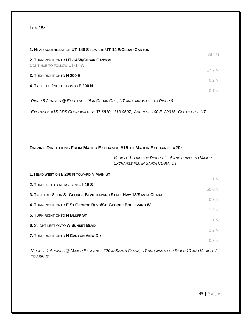### **LEG 15:**

| 1. HEAD SOUTHEAST ON UT-148 S TOWARD UT-14 E/CEDAR CANYON                | 387 FT               |
|--------------------------------------------------------------------------|----------------------|
| 2. TURN RIGHT ONTO UT-14 W/CEDAR CANYON<br>CONTINUE TO FOLLOW UT-14 W    |                      |
| 3. TURN RIGHT ONTO N 200 E                                               | $17.7$ MI            |
| 4. TAKE THE 2ND LEFT ONTO E 200 N                                        | $0.2$ MI<br>$0.1$ MI |
| RIDER 5 ARRIVES @ EXCHANGE 15 IN CEDAR CITY, UT AND HANDS OFF TO RIDER 6 |                      |

*EXCHANGE #15 GPS COORDINATES: 37.6810, -113.0607, ADDRESS:100 E. 200 N., CEDAR CITY, UT*

#### **DRIVING DIRECTIONS FROM MAJOR EXCHANGE #15 TO MAJOR EXCHANGE #20:**

*VEHICLE 1 LOADS UP RIDERS 1 – 5 AND DRIVES TO MAJOR EXCHANGE #20 IN SANTA CLARA, UT*

| 2. TURN LEFT TO MERGE ONTO <b>I-15 S</b><br>50.0 MI<br>3. TAKE EXIT 8 FOR ST GEORGE BLVD TOWARD STATE HWY 18/SANTA CLARA<br>$0.3$ MI<br>4. TURN RIGHT ONTO E ST GEORGE BLVD/ST. GEORGE BOULEVARD W<br>1.9 MI<br>5. TURN RIGHT ONTO N BLUFF ST<br><b>6. SLIGHT LEFT ONTO W SUNSET BLVD</b><br>$2.2$ MI<br><b>7. TURN RIGHT ONTO N CANYON VIEW DR</b><br>$0.3$ MI | 1. HEAD WEST ON E 200 N TOWARD N MAIN ST | $1.1$ MI |
|-----------------------------------------------------------------------------------------------------------------------------------------------------------------------------------------------------------------------------------------------------------------------------------------------------------------------------------------------------------------|------------------------------------------|----------|
|                                                                                                                                                                                                                                                                                                                                                                 |                                          |          |
|                                                                                                                                                                                                                                                                                                                                                                 |                                          |          |
|                                                                                                                                                                                                                                                                                                                                                                 |                                          |          |
|                                                                                                                                                                                                                                                                                                                                                                 |                                          |          |
|                                                                                                                                                                                                                                                                                                                                                                 |                                          | $1.1$ MI |
|                                                                                                                                                                                                                                                                                                                                                                 |                                          |          |
|                                                                                                                                                                                                                                                                                                                                                                 |                                          |          |

*VEHICLE 1 ARRIVES @ MAJOR EXCHANGE #20 IN SANTA CLARA, UT AND WAITS FOR RIDER 10 AND VEHICLE 2 TO ARRIVE*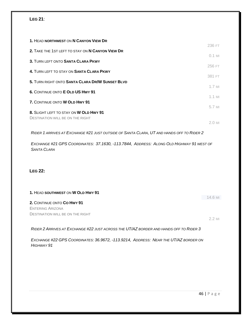#### **LEG 21**:

| 1. HEAD NORTHWEST ON N CANYON VIEW DR                                             |          |
|-----------------------------------------------------------------------------------|----------|
|                                                                                   | 236 FT   |
| 2. TAKE THE 1ST LEFT TO STAY ON N CANYON VIEW DR                                  | $0.1$ MI |
| 3. TURN LEFT ONTO SANTA CLARA PKWY                                                |          |
| 4. TURN LEFT TO STAY ON SANTA CLARA PKWY                                          | 256 FT   |
|                                                                                   | 381 FT   |
| 5. TURN RIGHT ONTO SANTA CLARA DR/W SUNSET BLVD                                   | $1.7$ MI |
| 6. CONTINUE ONTO E OLD US HWY 91                                                  |          |
| 7. CONTINUE ONTO W OLD HWY 91                                                     | $1.1$ MI |
|                                                                                   | 5.7 MI   |
| 8. SLIGHT LEFT TO STAY ON W OLD HWY 91<br><b>DESTINATION WILL BE ON THE RIGHT</b> |          |
|                                                                                   | $2.0$ MI |

*RIDER 1 ARRIVES AT EXCHANGE #21 JUST OUTSIDE OF SANTA CLARA, UT AND HANDS OFF TO RIDER 2*

*EXCHANGE #21 GPS COORDINATES: 37.1630, -113.7844, ADDRESS: ALONG OLD HIGHWAY 91 WEST OF SANTA CLARA*

#### **LEG 22:**

| 1. HEAD SOUTHWEST ON W OLD HWY 91       |         |
|-----------------------------------------|---------|
|                                         | 14.6 MI |
| 2. CONTINUE ONTO CO HWY 91              |         |
| ENTERING ARIZONA                        |         |
| <b>DESTINATION WILL BE ON THE RIGHT</b> |         |
|                                         | 22M     |

*RIDER 2 ARRIVES AT EXCHANGE #22 JUST ACROSS THE UT/AZ BORDER AND HANDS OFF TO RIDER 3*

*EXCHANGE #22 GPS COORDINATES: 36.9672, -113.9214, ADDRESS: NEAR THE UT/AZ BORDER ON HIGHWAY 91*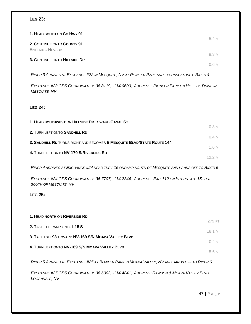#### **LEG 23:**

| 1. HEAD SOUTH ON CO HWY 91                           | 5.4 MI   |
|------------------------------------------------------|----------|
| 2. CONTINUE ONTO COUNTY 91<br><b>ENTERING NEVADA</b> |          |
| 3. CONTINUE ONTO HILLSIDE DR                         | 9.3 MI   |
|                                                      | $0.6$ MI |

*RIDER 3 ARRIVES AT EXCHANGE #22 IN MESQUITE, NV AT PIONEER PARK AND EXCHANGES WITH RIDER 4*

*EXCHANGE #23 GPS COORDINATES: 36.8119, -114.0600, ADDRESS: PIONEER PARK ON HILLSIDE DRIVE IN MESQUITE, NV*

#### **LEG 24:**

| $0.3$ MI |
|----------|
| $0.4$ MI |
|          |
| $1.6$ MI |
| 12 2 MI  |
|          |

*RIDER 4 ARRIVES AT EXCHANGE #24 NEAR THE I-15 ONRAMP SOUTH OF MESQUITE AND HANDS OFF TO RIDER 5*

*EXCHANGE #24 GPS COORDINATES: 36.7707, -114.2344, ADDRESS: EXIT 112 ON INTERSTATE 15 JUST SOUTH OF MESQUITE, NV*

#### **LEG 25:**

| 1. HEAD NORTH ON RIVERSIDE RD                       | 279 FT   |
|-----------------------------------------------------|----------|
| 2. TAKE THE RAMP ONTO <b>I-15 S</b>                 | 18.1 MI  |
| 3. TAKE EXIT 93 TOWARD NV-169 S/N MOAPA VALLEY BLVD | $0.4$ MI |
| 4. TURN LEFT ONTO NV-169 S/N MOAPA VALLEY BLVD      |          |
|                                                     | 5.6 MI   |

*RIDER 5 ARRIVES AT EXCHANGE #25 AT BOWLER PARK IN MOAPA VALLEY, NV AND HANDS OFF TO RIDER 6*

*EXCHANGE #25 GPS COORDINATES: 36.6003, -114.4841, ADDRESS: RAWSON & MOAPA VALLEY BLVD, LOGANDALE, NV*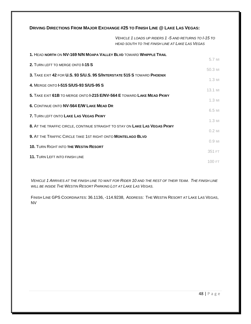#### **DRIVING DIRECTIONS FROM MAJOR EXCHANGE #25 TO FINISH LINE @ LAKE LAS VEGAS:**

*VEHICLE 1 LOADS UP RIDERS 1 -5 AND RETURNS TO I-15 TO HEAD SOUTH TO THE FINISH LINE AT LAKE LAS VEGAS*

| 1. HEAD NORTH ON NV-169 N/N MOAPA VALLEY BLVD TOWARD WHIPPLE TRAIL           |          |
|------------------------------------------------------------------------------|----------|
| 2. TURN LEFT TO MERGE ONTO <b>I-15 S</b>                                     | 5.7 MI   |
| 3. TAKE EXIT 42 FOR U.S. 93 S/U.S. 95 S/INTERSTATE 515 S TOWARD PHOENIX      | 50.3 MI  |
| 4. MERGE ONTO <b>I-515 S/US-93 S/US-95 S</b>                                 | $1.3$ MI |
|                                                                              | 13.1 MI  |
| 5. TAKE EXIT 61B TO MERGE ONTO <b>I-215 E/NV-564 E</b> TOWARD LAKE MEAD PKWY | $1.3$ MI |
| <b>6. CONTINUE ONTO NV-564 E/W LAKE MEAD DR</b>                              | 6.5 MI   |
| 7. TURN LEFT ONTO LAKE LAS VEGAS PKWY                                        |          |
| 8. AT THE TRAFFIC CIRCLE, CONTINUE STRAIGHT TO STAY ON LAKE LAS VEGAS PKWY   | $1.3$ MI |
| 9. AT THE TRAFFIC CIRCLE TAKE 1ST RIGHT ONTO MONTELAGO BLVD                  | $0.2$ MI |
|                                                                              | $0.9$ MI |
| <b>10. TURN RIGHT INTO THE WESTIN RESORT</b>                                 | 351 FT   |
| <b>11. TURN LEFT INTO FINISH LINE</b>                                        | 100 FT   |

*VEHICLE 1 ARRIVES AT THE FINISH LINE TO WAIT FOR RIDER 10 AND THE REST OF THEIR TEAM. THE FINISH LINE WILL BE INSIDE THE WESTIN RESORT PARKING LOT AT LAKE LAS VEGAS.*

FINISH LINE GPS COORDINATES: 36.1136, -114.9238, ADDRESS: THE WESTIN RESORT AT LAKE LAS VEGAS, NV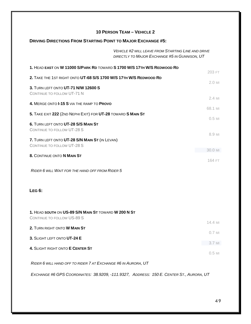| <b>10 PERSON TEAM - VEHICLE 2</b>                                                                          |          |
|------------------------------------------------------------------------------------------------------------|----------|
| <b>DRIVING DIRECTIONS FROM STARTING POINT TO MAJOR EXCHANGE #5:</b>                                        |          |
| <b>VEHICLE #2 WILL LEAVE FROM STARTING LINE AND DRIVE</b><br>DIRECTLY TO MAJOR EXCHANGE #5 IN GUNNISON, UT |          |
| 1. HEAD EAST ON W 11000 S/PARK RD TOWARD S 1700 W/S 17TH W/S REDWOOD RD                                    | 203 FT   |
| 2. TAKE THE 1ST RIGHT ONTO UT-68 S/S 1700 W/S 17TH W/S REDWOOD RD                                          | $2.0$ MI |
| 3. TURN LEFT ONTO UT-71 N/W 12600 S<br>CONTINUE TO FOLLOW UT-71 N                                          |          |
| 4. MERGE ONTO I-15 S VIA THE RAMP TO PROVO                                                                 | 2.4 MI   |
| 5. TAKE EXIT 222 (2ND NEPHI EXIT) FOR UT-28 TOWARD S MAIN ST                                               | 68.1 MI  |
| 6. TURN LEFT ONTO UT-28 S/S MAIN ST<br>CONTINUE TO FOLLOW UT-28 S                                          | $0.5$ MI |
| 7. TURN LEFT ONTO UT-28 S/N MAIN ST (IN LEVAN)<br>CONTINUE TO FOLLOW UT-28 S                               | 8.9 MI   |
| 8. CONTINUE ONTO N MAIN ST                                                                                 | 30.0 MI  |
| RIDER 6 WILL WAIT FOR THE HAND OFF FROM RIDER 5                                                            | 164 FT   |
| LEG 6:                                                                                                     |          |
| 1. HEAD SOUTH ON US-89 S/N MAIN ST TOWARD W 200 N ST<br>CONTINUE TO FOLLOW US-89 S                         |          |
| 2. TURN RIGHT ONTO W MAIN ST                                                                               | 14.4 MI  |
| 3. SLIGHT LEFT ONTO UT-24 E                                                                                | $0.7$ MI |
| 4. SLIGHT RIGHT ONTO E CENTER ST                                                                           | 3.7 MI   |
|                                                                                                            | $0.5$ MI |
| RIDER 6 WILL HAND OFF TO RIDER 7 AT EXCHANGE #6 IN AURORA, UT                                              |          |

*EXCHANGE #6 GPS COORDINATES: 38.9209, -111.9327, ADDRESS: 150 E. CENTER ST., AURORA, UT*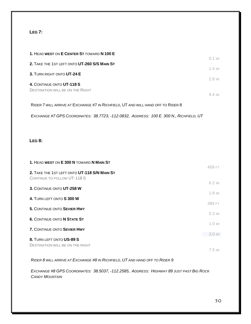#### **LEG 7:**

| 1. HEAD WEST ON E CENTER ST TOWARD N 100 E                                       |                          |
|----------------------------------------------------------------------------------|--------------------------|
| 2. TAKE THE 1ST LEFT ONTO UT-260 S/S MAIN ST                                     | $0.1$ MI                 |
| 3. TURN RIGHT ONTO UT-24 E                                                       | $1.4$ MI                 |
| 4. CONTINUE ONTO UT-118 S                                                        | $2.8$ MI                 |
| <b>DESTINATION WILL BE ON THE RIGHT</b>                                          | $9.4 \text{ }\mathrm{M}$ |
| RIDER 7 WILL ARRIVE AT EXCHANGE #7 IN RICHFIELD, UT AND WILL HAND OFF TO RIDER 8 |                          |

*EXCHANGE #7 GPS COORDINATES: 38.7723, -112.0832, ADDRESS: 100 E. 300 N., RICHFIELD, UT*

#### **LEG 8:**

| 1. HEAD WEST ON E 300 N TOWARD N MAIN ST                                    | 459 FT   |
|-----------------------------------------------------------------------------|----------|
| 2. TAKE THE 1ST LEFT ONTO UT-118 S/N MAIN ST<br>CONTINUE TO FOLLOW UT-118 S |          |
| 3. CONTINUE ONTO UT-258 W                                                   | 6.2 MI   |
|                                                                             | $1.8$ MI |
| 4. TURN LEFT ONTO S 300 W                                                   | 384 FT   |
| 5. CONTINUE ONTO SEVIER HWY                                                 | 5.3 MI   |
| <b>6. CONTINUE ONTO N STATE ST</b>                                          |          |
| <b>7. CONTINUE ONTO SEVIER HWY</b>                                          | 1.0 MI   |
| 8. TURN LEFT ONTO US-89 S                                                   | $3.0$ MI |
| <b>DESTINATION WILL BE ON THE RIGHT</b>                                     |          |
|                                                                             | 7.5 MI   |

*RIDER 8 WILL ARRIVE AT EXCHANGE #8 IN RICHFIELD, UT AND HAND OFF TO RIDER 9*

*EXCHANGE #8 GPS COORDINATES: 38.5037, -112.2585, ADDRESS: HIGHWAY 89 JUST PAST BIG ROCK CANDY MOUNTAIN*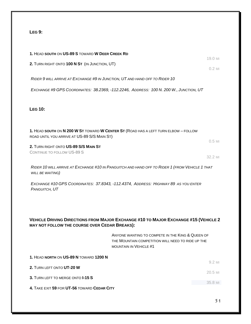## **LEG 9:**

| 1. HEAD SOUTH ON US-89 S TOWARD W DEER CREEK RD                             |                                                                                                                                        | 19.0 MI            |
|-----------------------------------------------------------------------------|----------------------------------------------------------------------------------------------------------------------------------------|--------------------|
| 2. TURN RIGHT ONTO 100 N ST (IN JUNCTION, UT)                               |                                                                                                                                        | $0.2$ MI           |
| RIDER 9 WILL ARRIVE AT EXCHANGE #9 IN JUNCTION, UT AND HAND OFF TO RIDER 10 |                                                                                                                                        |                    |
|                                                                             | EXCHANGE #9 GPS COORDINATES: 38.2369, -112.2246, ADDRESS: 100 N. 200 W., JUNCTION, UT                                                  |                    |
|                                                                             |                                                                                                                                        |                    |
| <b>LEG 10:</b>                                                              |                                                                                                                                        |                    |
|                                                                             |                                                                                                                                        |                    |
| ROAD UNTIL YOU ARRIVE AT US-89 S/S MAIN ST)                                 | 1. HEAD SOUTH ON N 200 W ST TOWARD W CENTER ST (ROAD HAS A LEFT TURN ELBOW - FOLLOW                                                    |                    |
| 2. TURN RIGHT ONTO US-89 S/S MAIN ST                                        |                                                                                                                                        | $0.5$ MI           |
| <b>CONTINUE TO FOLLOW US-89 S</b>                                           |                                                                                                                                        | 32.2 MI            |
| WILL BE WAITING)                                                            | RIDER 10 WILL ARRIVE AT EXCHANGE #10 IN PANGUITCH AND HAND OFF TO RIDER 1 (FROM VEHICLE 1 THAT                                         |                    |
| PANGUITCH, UT                                                               | EXCHANGE #10 GPS COORDINATES: 37.8343, -112.4374, ADDRESS: HIGHWAY 89 AS YOU ENTER                                                     |                    |
|                                                                             |                                                                                                                                        |                    |
|                                                                             |                                                                                                                                        |                    |
| MAY NOT FOLLOW THE COURSE OVER CEDAR BREAKS):                               | <b>VEHICLE DRIVING DIRECTIONS FROM MAJOR EXCHANGE #10 TO MAJOR EXCHANGE #15 (VEHICLE 2</b>                                             |                    |
|                                                                             | ANYONE WANTING TO COMPETE IN THE KING & QUEEN OF<br>THE MOUNTAIN COMPETITION WILL NEED TO RIDE UP THE<br><b>MOUNTAIN IN VEHICLE #1</b> |                    |
| 1. HEAD NORTH ON US-89 N TOWARD 1200 N                                      |                                                                                                                                        |                    |
| 2. TURN LEFT ONTO UT-20 W                                                   |                                                                                                                                        | 9.2 MI             |
| 3. TURN LEFT TO MERGE ONTO I-15 S                                           |                                                                                                                                        | 20.5 MI<br>35.8 MI |
| 4. TAKE EXIT 59 FOR UT-56 TOWARD CEDAR CITY                                 |                                                                                                                                        |                    |
|                                                                             |                                                                                                                                        |                    |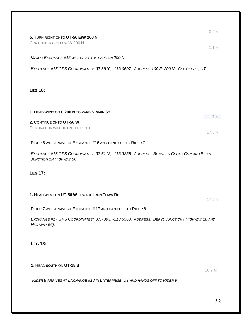| 5. TURN RIGHT ONTO UT-56 E/W 200 N<br>CONTINUE TO FOLLOW W 200 N                                                         | $0.2$ MI            |
|--------------------------------------------------------------------------------------------------------------------------|---------------------|
| MAJOR EXCHANGE #15 WILL BE AT THE PARK ON 200 N                                                                          | $1.1$ MI            |
| EXCHANGE #15 GPS COORDINATES: 37.6810, -113.0607, ADDRESS:100 E. 200 N., CEDAR CITY, UT                                  |                     |
| <b>LEG 16:</b>                                                                                                           |                     |
| 1. HEAD WEST ON E 200 N TOWARD N MAIN ST                                                                                 |                     |
| 2. CONTINUE ONTO UT-56 W<br><b>DESTINATION WILL BE ON THE RIGHT</b>                                                      | $1.7$ MI<br>17.5 MI |
| RIDER 6 WILL ARRIVE AT EXCHANGE #16 AND HAND OFF TO RIDER 7                                                              |                     |
| EXCHANGE #16 GPS COORDINATES: 37.6113, -113.3838, ADDRESS: BETWEEN CEDAR CITY AND BERYL<br><b>JUNCTION ON HIGHWAY 56</b> |                     |
| <b>LEG 17:</b>                                                                                                           |                     |
| 1. HEAD WEST ON UT-56 W TOWARD IRON TOWN RD                                                                              | $17.2$ MI           |
| RIDER 7 WILL ARRIVE AT EXCHANGE #17 AND HAND OFF TO RIDER 8                                                              |                     |
| EXCHANGE #17 GPS COORDINATES: 37.7093, -113.6563, ADDRESS: BERYL JUNCTION (HIGHWAY 18 AND<br>HIGHWAY 56).                |                     |
| <b>LEG 18:</b>                                                                                                           |                     |
| 1. HEAD SOUTH ON UT-18 S                                                                                                 | 10.7 MI             |
| RIDER 8 ARRIVES AT EXCHANGE #18 IN ENTERPRISE, UT AND HANDS OFF TO RIDER 9                                               |                     |
|                                                                                                                          |                     |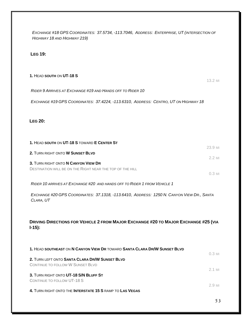*EXCHANGE #18 GPS COORDINATES: 37.5734, -113.7046, ADDRESS: ENTERPRISE, UT (INTERSECTION OF HIGHWAY 18 AND HIGHWAY 219)*

#### **LEG 19:**

## **1.** HEAD **SOUTH** ON **UT-18 S** 13.2 MI *RIDER 9 ARRIVES AT EXCHANGE #19 AND HANDS OFF TO RIDER 10 EXCHANGE #19 GPS COORDINATES: 37.4224, -113.6310, ADDRESS: CENTRO, UT ON HIGHWAY 18* **LEG 20: 1.** HEAD **SOUTH** ON **UT-18 S** TOWARD **E CENTER ST** 23.9 MI **2.** TURN RIGHT ONTO **W SUNSET BLVD** 2.2 MI **3.** TURN RIGHT ONTO **N CANYON VIEW DR** DESTINATION WILL BE ON THE RIGHT NEAR THE TOP OF THE HILL 0.3 MI *RIDER 10 ARRIVES AT EXCHANGE #20 AND HANDS OFF TO RIDER 1 FROM VEHICLE 1 EXCHANGE #20 GPS COORDINATES: 37.1318, -113.6410, ADDRESS: 1250 N. CANYON VIEW DR., SANTA CLARA, UT* **DRIVING DIRECTIONS FOR VEHICLE 2 FROM MAJOR EXCHANGE #20 TO MAJOR EXCHANGE #25 (VIA I-15): 1.** HEAD **SOUTHEAST** ON **N CANYON VIEW DR** TOWARD **SANTA CLARA DR/W SUNSET BLVD** 0.3 MI **2.** TURN LEFT ONTO **SANTA CLARA DR/W SUNSET BLVD** CONTINUE TO FOLLOW W SUNSET BLVD 2.1 MI **3.** TURN RIGHT ONTO **UT-18 S/N BLUFF ST** CONTINUE TO FOLLOW UT-18 S 2.9 MI **4.** TURN RIGHT ONTO THE **INTERSTATE 15 S** RAMP TO **LAS VEGAS**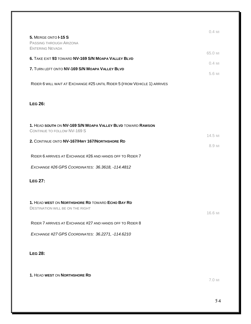| 5. MERGE ONTO I-15 S                                                                 | $0.4$ MI |
|--------------------------------------------------------------------------------------|----------|
| PASSING THROUGH ARIZONA<br><b>ENTERING NEVADA</b>                                    |          |
| 6. TAKE EXIT 93 TOWARD NV-169 S/N MOAPA VALLEY BLVD                                  | 65.0 MI  |
|                                                                                      | $0.4$ MI |
| 7. TURN LEFT ONTO NV-169 S/N MOAPA VALLEY BLVD                                       | 5.6 MI   |
| RIDER 6 WILL WAIT AT EXCHANGE #25 UNTIL RIDER 5 (FROM VEHICLE 1) ARRIVES             |          |
|                                                                                      |          |
| <b>LEG 26:</b>                                                                       |          |
|                                                                                      |          |
| 1. HEAD SOUTH ON NV-169 S/N MOAPA VALLEY BLVD TOWARD RAWSON                          |          |
| CONTINUE TO FOLLOW NV-169 S                                                          | 14.5 MI  |
| 2. CONTINUE ONTO NV-167/HWY 167/NORTHSHORE RD                                        | 8.9 MI   |
| RIDER 6 ARRIVES AT EXCHANGE #26 AND HANDS OFF TO RIDER 7                             |          |
| EXCHANGE #26 GPS COORDINATES: 36.3618, -114.4812                                     |          |
| <b>LEG 27:</b>                                                                       |          |
|                                                                                      |          |
|                                                                                      |          |
| 1. HEAD WEST ON NORTHSHORE RD TOWARD ECHO BAY RD<br>DESTINATION WILL BE ON THE RIGHT |          |
|                                                                                      | 16.6 MI  |
| RIDER 7 ARRIVES AT EXCHANGE #27 AND HANDS OFF TO RIDER 8                             |          |
| EXCHANGE #27 GPS COORDINATES: 36.2271, -114.6210                                     |          |
|                                                                                      |          |
| <b>LEG 28:</b>                                                                       |          |
|                                                                                      |          |
| 1. HEAD WEST ON NORTHSHORE RD                                                        |          |

7.0 MI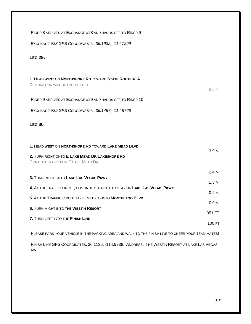| RIDER 8 ARRIVES AT EXCHANGE #28 AND HANDS OFF TO RIDER 9                                                                                                                                                        |                 |
|-----------------------------------------------------------------------------------------------------------------------------------------------------------------------------------------------------------------|-----------------|
| EXCHANGE #28 GPS COORDINATES: 36.1932, -114.7299                                                                                                                                                                |                 |
| <b>LEG 29:</b>                                                                                                                                                                                                  |                 |
| 1. HEAD WEST ON NORTHSHORE RD TOWARD STATE ROUTE 41A<br><b>DESTINATION WILL BE ON THE LEFT</b><br>RIDER 9 ARRIVES AT EXCHANGE #29 AND HANDS OFF TO RIDER 10<br>EXCHANGE #29 GPS COORDINATES: 36.1457, -114.8766 | 9.5 MI          |
| <b>LEG 30</b>                                                                                                                                                                                                   |                 |
|                                                                                                                                                                                                                 |                 |
| 1. HEAD WEST ON NORTHSHORE RD TOWARD LAKE MEAD BLVD<br>2. TURN RIGHT ONTO E LAKE MEAD DR/LAKESHORE RD<br>CONTINUE TO FOLLOW E LAKE MEAD DR                                                                      | 3.9 MI          |
| 3. TURN RIGHT ONTO LAKE LAS VEGAS PKWY                                                                                                                                                                          | 2.4 MI          |
|                                                                                                                                                                                                                 | $1.3$ MI        |
| 4. AT THE TRAFFIC CIRCLE, CONTINUE STRAIGHT TO STAY ON LAKE LAS VEGAS PKWY                                                                                                                                      | $0.2$ MI        |
| 5. AT THE TRAFFIC CIRCLE TAKE 1ST EXIT ONTO MONTELAGO BLVD                                                                                                                                                      | $0.9 \ \rm{MI}$ |
| <b>6. TURN RIGHT INTO THE WESTIN RESORT</b>                                                                                                                                                                     | 351 FT          |
| 7. TURN LEFT INTO THE FINISH LINE                                                                                                                                                                               |                 |
| PLEASE PARK YOUR VEHICLE IN THE PARKING AREA AND WALK TO THE FINISH LINE TO CHEER YOUR TEAM MATES!                                                                                                              | 100 FT          |

FINISH LINE GPS COORDINATES: 36.1136, -114.9238, ADDRESS: THE WESTIN RESORT AT LAKE LAS VEGAS, NV